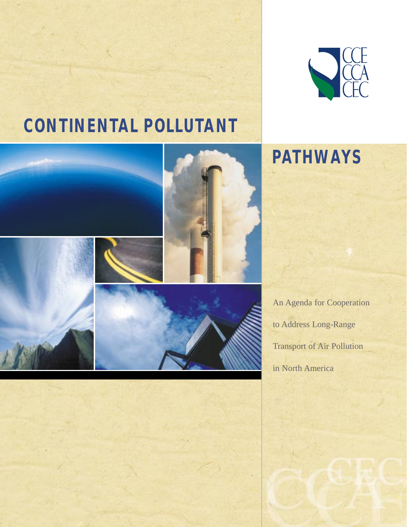

# **CONTINENTAL POLLUTANT**



**PATHWAYS**

An Agenda for Cooperation to Address Long-Range Transport of Air Pollution in North America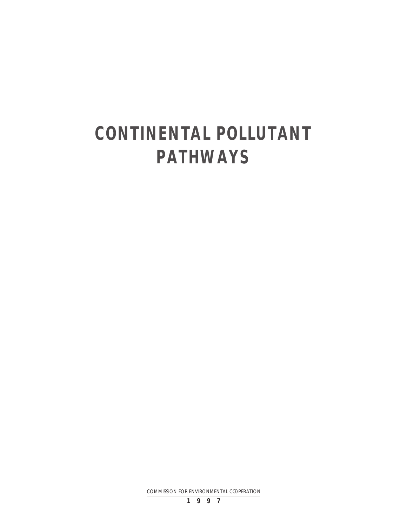# **CONTINENTAL POLLUTANT PATHWAYS**

COMMISSION FOR ENVIRONMENTAL COOPERATION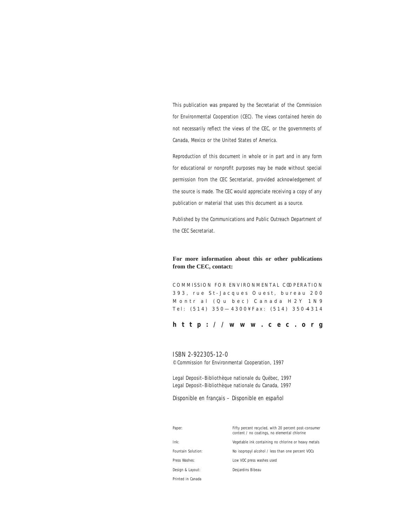This publication was prepared by the Secretariat of the Commission for Environmental Cooperation (CEC). The views contained herein do not necessarily reflect the views of the CEC, or the governments of Canada, Mexico or the United States of America.

Reproduction of this document in whole or in part and in any form for educational or nonprofit purposes may be made without special permission from the CEC Secretariat, provided acknowledgement of the source is made. The CEC would appreciate receiving a copy of any publication or material that uses this document as a source.

Published by the Communications and Public Outreach Department of the CEC Secretariat.

## **For more information about this or other publications from the CEC, contact:**

COMMISSION FOR ENVIRONMENTAL C OOPERATION 393, rue St-Jacques Ouest, bureau 200 Montr al (Qu bec) Canada H2Y 1N9 Tel: (514) 350—4300¥Fax: (514) 350 —4314

## **http://www.cec.org**

## ISBN 2-922305-12-0

© Commission for Environmental Cooperation, 1997

Legal Deposit–Bibliothèque nationale du Québec, 1997 Legal Deposit–Bibliothèque nationale du Canada, 1997

*Disponible en français – Disponible en español*

| Paper:             | Fifty percent recycled, with 20 percent post-consumer<br>content / no coatings, no elemental chlorine |
|--------------------|-------------------------------------------------------------------------------------------------------|
| Ink:               | Vegetable ink containing no chlorine or heavy metals                                                  |
| Fountain Solution: | No isopropyl alcohol / less than one percent VOCs                                                     |
| Press Washes:      | Low VOC press washes used                                                                             |
| Design & Layout:   | Desjardins Bibeau                                                                                     |
| Printed in Canada  |                                                                                                       |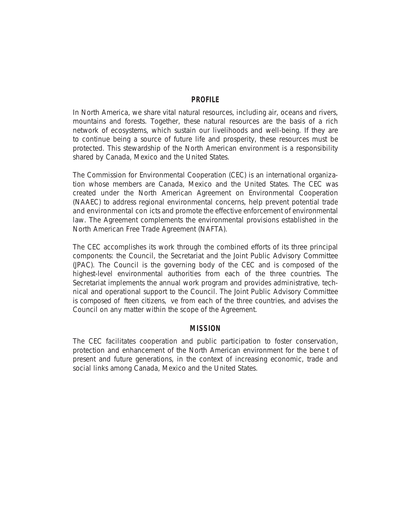## **PROFILE**

In North America, we share vital natural resources, including air, oceans and rivers, mountains and forests. Together, these natural resources are the basis of a rich network of ecosystems, which sustain our livelihoods and well-being. If they are to continue being a source of future life and prosperity, these resources must be protected. This stewardship of the North American environment is a responsibility shared by Canada, Mexico and the United States.

The Commission for Environmental Cooperation (CEC) is an international organization whose members are Canada, Mexico and the United States. The CEC was created under the North American Agreement on Environmental Cooperation (NAAEC) to address regional environmental concerns, help prevent potential trade and environmental con icts and promote the effective enforcement of environmental law. The Agreement complements the environmental provisions established in the North American Free Trade Agreement (NAFTA).

The CEC accomplishes its work through the combined efforts of its three principal components: the Council, the Secretariat and the Joint Public Advisory Committee (JPAC). The Council is the governing body of the CEC and is composed of the highest-level environmental authorities from each of the three countries. The Secretariat implements the annual work program and provides administrative, technical and operational support to the Council. The Joint Public Advisory Committee is composed of fteen citizens, ve from each of the three countries, and advises the Council on any matter within the scope of the Agreement.

## **MISSION**

The CEC facilitates cooperation and public participation to foster conservation, protection and enhancement of the North American environment for the bene t of present and future generations, in the context of increasing economic, trade and social links among Canada, Mexico and the United States.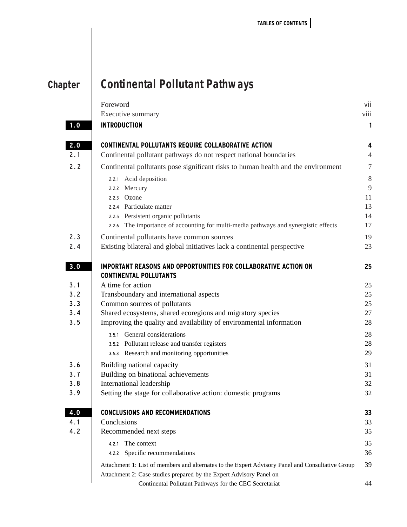| <b>Chapter</b> | <b>Continental Pollutant Pathways</b> |  |
|----------------|---------------------------------------|--|
|                |                                       |  |

|     | Foreword<br>Executive summary                                                                           | vii<br>viii    |
|-----|---------------------------------------------------------------------------------------------------------|----------------|
| 1.0 | <b>INTRODUCTION</b>                                                                                     | 1              |
| 2.0 | <b>CONTINENTAL POLLUTANTS REQUIRE COLLABORATIVE ACTION</b>                                              | 4              |
| 2.1 | Continental pollutant pathways do not respect national boundaries                                       | $\overline{4}$ |
| 2.2 | Continental pollutants pose significant risks to human health and the environment                       | $\overline{7}$ |
|     | 2.2.1 Acid deposition                                                                                   | 8              |
|     | 2.2.2 Mercury                                                                                           | 9              |
|     | 2.2.3 Ozone                                                                                             | 11             |
|     | 2.2.4 Particulate matter                                                                                | 13             |
|     | 2.2.5 Persistent organic pollutants                                                                     | 14             |
|     | The importance of accounting for multi-media pathways and synergistic effects<br>2.2.6                  | 17             |
| 2.3 | Continental pollutants have common sources                                                              | 19             |
| 2.4 | Existing bilateral and global initiatives lack a continental perspective                                | 23             |
| 3.0 | <b>IMPORTANT REASONS AND OPPORTUNITIES FOR COLLABORATIVE ACTION ON</b><br><b>CONTINENTAL POLLUTANTS</b> | 25             |
| 3.1 | A time for action                                                                                       | 25             |
| 3.2 | Transboundary and international aspects                                                                 | 25             |
| 3.3 | Common sources of pollutants                                                                            | 25             |
| 3.4 | Shared ecosystems, shared ecoregions and migratory species                                              | 27             |
| 3.5 | Improving the quality and availability of environmental information                                     | 28             |
|     | 3.5.1 General considerations                                                                            | 28             |
|     | 3.5.2 Pollutant release and transfer registers                                                          | 28             |
|     | 3.5.3 Research and monitoring opportunities                                                             | 29             |
| 3.6 | Building national capacity                                                                              | 31             |
| 3.7 | Building on binational achievements                                                                     | 31             |
| 3.8 | International leadership                                                                                | 32             |
| 3.9 | Setting the stage for collaborative action: domestic programs                                           | 32             |
| 4.0 | <b>CONCLUSIONS AND RECOMMENDATIONS</b>                                                                  | 33             |
| 4.1 | Conclusions                                                                                             | 33             |
| 4.2 | Recommended next steps                                                                                  | 35             |
|     | 4.2.1 The context                                                                                       | 35             |
|     | 4.2.2 Specific recommendations                                                                          | 36             |
|     | Attachment 1: List of members and alternates to the Expert Advisory Panel and Consultative Group        | 39             |
|     | Attachment 2: Case studies prepared by the Expert Advisory Panel on                                     |                |
|     | Continental Pollutant Pathways for the CEC Secretariat                                                  | 44             |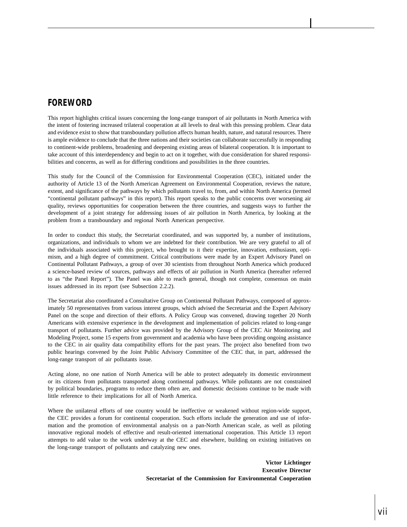# **FOREWORD**

This report highlights critical issues concerning the long-range transport of air pollutants in North America with the intent of fostering increased trilateral cooperation at all levels to deal with this pressing problem. Clear data and evidence exist to show that transboundary pollution affects human health, nature, and natural resources. There is ample evidence to conclude that the three nations and their societies can collaborate successfully in responding to continent-wide problems, broadening and deepening existing areas of bilateral cooperation. It is important to take account of this interdependency and begin to act on it together, with due consideration for shared responsibilities and concerns, as well as for differing conditions and possibilities in the three countries.

This study for the Council of the Commission for Environmental Cooperation (CEC), initiated under the authority of Article 13 of the North American Agreement on Environmental Cooperation, reviews the nature, extent, and significance of the pathways by which pollutants travel to, from, and within North America (termed "continental pollutant pathways" in this report). This report speaks to the public concerns over worsening air quality, reviews opportunities for cooperation between the three countries, and suggests ways to further the development of a joint strategy for addressing issues of air pollution in North America, by looking at the problem from a transboundary and regional North American perspective.

In order to conduct this study, the Secretariat coordinated, and was supported by, a number of institutions, organizations, and individuals to whom we are indebted for their contribution. We are very grateful to all of the individuals associated with this project, who brought to it their expertise, innovation, enthusiasm, optimism, and a high degree of commitment. Critical contributions were made by an Expert Advisory Panel on Continental Pollutant Pathways, a group of over 30 scientists from throughout North America which produced a science-based review of sources, pathways and effects of air pollution in North America (hereafter referred to as "the Panel Report"). The Panel was able to reach general, though not complete, consensus on main issues addressed in its report (see Subsection 2.2.2).

The Secretariat also coordinated a Consultative Group on Continental Pollutant Pathways, composed of approximately 50 representatives from various interest groups, which advised the Secretariat and the Expert Advisory Panel on the scope and direction of their efforts. A Policy Group was convened, drawing together 20 North Americans with extensive experience in the development and implementation of policies related to long-range transport of pollutants. Further advice was provided by the Advisory Group of the CEC Air Monitoring and Modeling Project, some 15 experts from government and academia who have been providing ongoing assistance to the CEC in air quality data compatibility efforts for the past years. The project also benefited from two public hearings convened by the Joint Public Advisory Committee of the CEC that, in part, addressed the long-range transport of air pollutants issue.

Acting alone, no one nation of North America will be able to protect adequately its domestic environment or its citizens from pollutants transported along continental pathways. While pollutants are not constrained by political boundaries, programs to reduce them often are, and domestic decisions continue to be made with little reference to their implications for all of North America.

Where the unilateral efforts of one country would be ineffective or weakened without region-wide support, the CEC provides a forum for continental cooperation. Such efforts include the generation and use of information and the promotion of environmental analysis on a pan-North American scale, as well as piloting innovative regional models of effective and result-oriented international cooperation. This Article 13 report attempts to add value to the work underway at the CEC and elsewhere, building on existing initiatives on the long-range transport of pollutants and catalyzing new ones.

> **Victor Lichtinger Executive Director Secretariat of the Commission for Environmental Cooperation**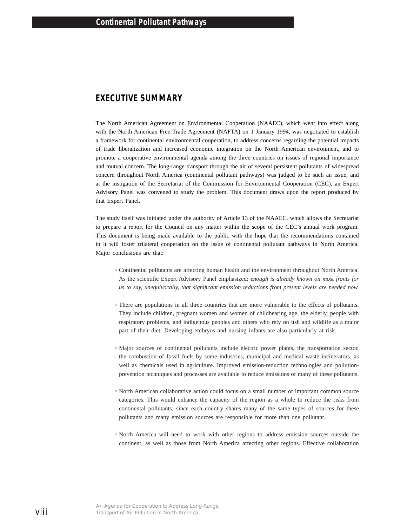# **EXECUTIVE SUMMARY**

The North American Agreement on Environmental Cooperation (NAAEC), which went into effect along with the North American Free Trade Agreement (NAFTA) on 1 January 1994, was negotiated to establish a framework for continental environmental cooperation, to address concerns regarding the potential impacts of trade liberalization and increased economic integration on the North American environment, and to promote a cooperative environmental agenda among the three countries on issues of regional importance and mutual concern. The long-range transport through the air of several persistent pollutants of widespread concern throughout North America (continental pollutant pathways) was judged to be such an issue, and at the instigation of the Secretariat of the Commission for Environmental Cooperation (CEC), an Expert Advisory Panel was convened to study the problem. This document draws upon the report produced by that Expert Panel.

The study itself was initiated under the authority of Article 13 of the NAAEC, which allows the Secretariat to prepare a report for the Council on any matter within the scope of the CEC's annual work program. This document is being made available to the public with the hope that the recommendations contained in it will foster trilateral cooperation on the issue of continental pollutant pathways in North America. Major conclusions are that:

- <sup>h</sup> Continental pollutants are affecting human health and the environment throughout North America. As the scientific Expert Advisory Panel emphasized: *enough is already known on most fronts for us to say, unequivocally, that significant emission reductions from present levels are needed now.*
- $\circ$  There are populations in all three countries that are more vulnerable to the effects of pollutants. They include children, pregnant women and women of childbearing age, the elderly, people with respiratory problems, and indigenous peoples and others who rely on fish and wildlife as a major part of their diet. Developing embryos and nursing infants are also particularly at risk.
- <sup>h</sup> Major sources of continental pollutants include electric power plants, the transportation sector, the combustion of fossil fuels by some industries, municipal and medical waste incinerators, as well as chemicals used in agriculture. Improved emission-reduction technologies and pollutionprevention techniques and processes are available to reduce emissions of many of these pollutants.
- $\circ$  North American collaborative action could focus on a small number of important common source categories. This would enhance the capacity of the region as a whole to reduce the risks from continental pollutants, since each country shares many of the same types of sources for these pollutants and many emission sources are responsible for more than one pollutant.
- $\circ$  North America will need to work with other regions to address emission sources outside the continent, as well as those from North America affecting other regions. Effective collaboration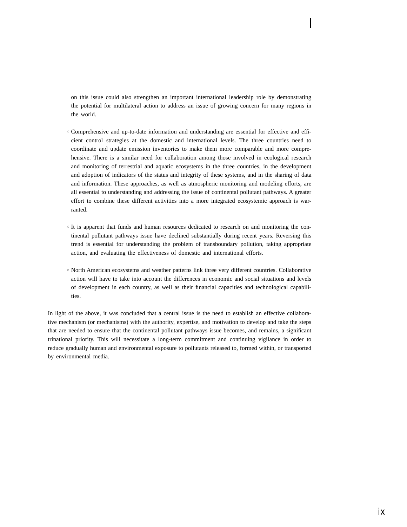on this issue could also strengthen an important international leadership role by demonstrating the potential for multilateral action to address an issue of growing concern for many regions in the world.

- <sup>h</sup> Comprehensive and up-to-date information and understanding are essential for effective and efficient control strategies at the domestic and international levels. The three countries need to coordinate and update emission inventories to make them more comparable and more comprehensive. There is a similar need for collaboration among those involved in ecological research and monitoring of terrestrial and aquatic ecosystems in the three countries, in the development and adoption of indicators of the status and integrity of these systems, and in the sharing of data and information. These approaches, as well as atmospheric monitoring and modeling efforts, are all essential to understanding and addressing the issue of continental pollutant pathways. A greater effort to combine these different activities into a more integrated ecosystemic approach is warranted.
- $\circ$  It is apparent that funds and human resources dedicated to research on and monitoring the continental pollutant pathways issue have declined substantially during recent years. Reversing this trend is essential for understanding the problem of transboundary pollution, taking appropriate action, and evaluating the effectiveness of domestic and international efforts.
- $\circ$  North American ecosystems and weather patterns link three very different countries. Collaborative action will have to take into account the differences in economic and social situations and levels of development in each country, as well as their financial capacities and technological capabilities.

In light of the above, it was concluded that a central issue is the need to establish an effective collaborative mechanism (or mechanisms) with the authority, expertise, and motivation to develop and take the steps that are needed to ensure that the continental pollutant pathways issue becomes, and remains, a significant trinational priority. This will necessitate a long-term commitment and continuing vigilance in order to reduce gradually human and environmental exposure to pollutants released to, formed within, or transported by environmental media.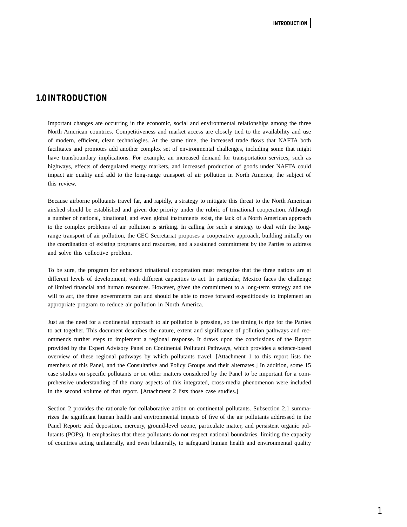# **1.0 INTRODUCTION**

Important changes are occurring in the economic, social and environmental relationships among the three North American countries. Competitiveness and market access are closely tied to the availability and use of modern, efficient, clean technologies. At the same time, the increased trade flows that NAFTA both facilitates and promotes add another complex set of environmental challenges, including some that might have transboundary implications. For example, an increased demand for transportation services, such as highways, effects of deregulated energy markets, and increased production of goods under NAFTA could impact air quality and add to the long-range transport of air pollution in North America, the subject of this review.

Because airborne pollutants travel far, and rapidly, a strategy to mitigate this threat to the North American airshed should be established and given due priority under the rubric of trinational cooperation. Although a number of national, binational, and even global instruments exist, the lack of a North American approach to the complex problems of air pollution is striking. In calling for such a strategy to deal with the longrange transport of air pollution, the CEC Secretariat proposes a cooperative approach, building initially on the coordination of existing programs and resources, and a sustained commitment by the Parties to address and solve this collective problem.

To be sure, the program for enhanced trinational cooperation must recognize that the three nations are at different levels of development, with different capacities to act. In particular, Mexico faces the challenge of limited financial and human resources. However, given the commitment to a long-term strategy and the will to act, the three governments can and should be able to move forward expeditiously to implement an appropriate program to reduce air pollution in North America.

Just as the need for a continental approach to air pollution is pressing, so the timing is ripe for the Parties to act together. This document describes the nature, extent and significance of pollution pathways and recommends further steps to implement a regional response. It draws upon the conclusions of the Report provided by the Expert Advisory Panel on Continental Pollutant Pathways, which provides a science-based overview of these regional pathways by which pollutants travel. [Attachment 1 to this report lists the members of this Panel, and the Consultative and Policy Groups and their alternates.] In addition, some 15 case studies on specific pollutants or on other matters considered by the Panel to be important for a comprehensive understanding of the many aspects of this integrated, cross-media phenomenon were included in the second volume of that report. [Attachment 2 lists those case studies.]

Section 2 provides the rationale for collaborative action on continental pollutants. Subsection 2.1 summarizes the significant human health and environmental impacts of five of the air pollutants addressed in the Panel Report: acid deposition, mercury, ground-level ozone, particulate matter, and persistent organic pollutants (POPs). It emphasizes that these pollutants do not respect national boundaries, limiting the capacity of countries acting unilaterally, and even bilaterally, to safeguard human health and environmental quality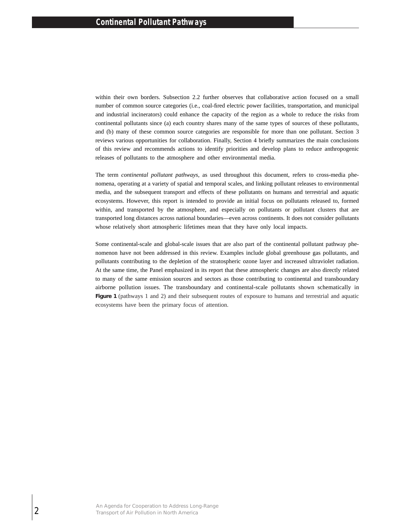within their own borders. Subsection 2.2 further observes that collaborative action focused on a small number of common source categories (i.e., coal-fired electric power facilities, transportation, and municipal and industrial incinerators) could enhance the capacity of the region as a whole to reduce the risks from continental pollutants since (a) each country shares many of the same types of sources of these pollutants, and (b) many of these common source categories are responsible for more than one pollutant. Section 3 reviews various opportunities for collaboration. Finally, Section 4 briefly summarizes the main conclusions of this review and recommends actions to identify priorities and develop plans to reduce anthropogenic releases of pollutants to the atmosphere and other environmental media.

The term *continental pollutant pathways*, as used throughout this document, refers to cross-media phenomena, operating at a variety of spatial and temporal scales, and linking pollutant releases to environmental media, and the subsequent transport and effects of these pollutants on humans and terrestrial and aquatic ecosystems. However, this report is intended to provide an initial focus on pollutants released to, formed within, and transported by the atmosphere, and especially on pollutants or pollutant clusters that are transported long distances across national boundaries—even across continents. It does not consider pollutants whose relatively short atmospheric lifetimes mean that they have only local impacts.

Some continental-scale and global-scale issues that are also part of the continental pollutant pathway phenomenon have not been addressed in this review. Examples include global greenhouse gas pollutants, and pollutants contributing to the depletion of the stratospheric ozone layer and increased ultraviolet radiation. At the same time, the Panel emphasized in its report that these atmospheric changes are also directly related to many of the same emission sources and sectors as those contributing to continental and transboundary airborne pollution issues. The transboundary and continental-scale pollutants shown schematically in **Figure 1** (pathways 1 and 2) and their subsequent routes of exposure to humans and terrestrial and aquatic ecosystems have been the primary focus of attention.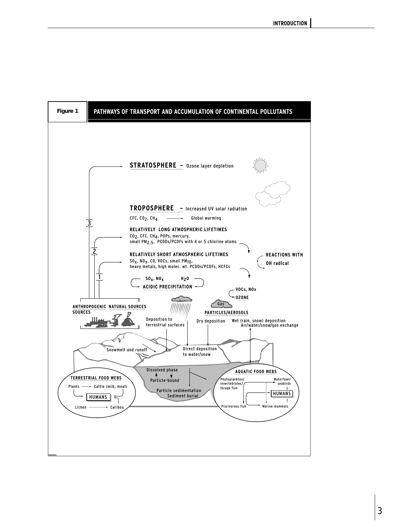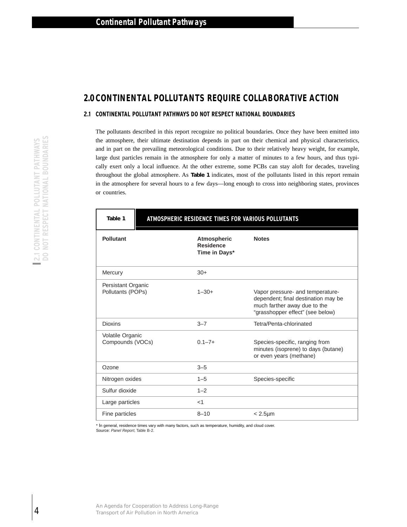# **2.0 CONTINENTAL POLLUTANTS REQUIRE COLLABORATIVE ACTION**

## **2.1 CONTINENTAL POLLUTANT PATHWAYS DO NOT RESPECT NATIONAL BOUNDARIES**

The pollutants described in this report recognize no political boundaries. Once they have been emitted into the atmosphere, their ultimate destination depends in part on their chemical and physical characteristics, and in part on the prevailing meteorological conditions. Due to their relatively heavy weight, for example, large dust particles remain in the atmosphere for only a matter of minutes to a few hours, and thus typically exert only a local influence. At the other extreme, some PCBs can stay aloft for decades, traveling throughout the global atmosphere. As **Table 1** indicates, most of the pollutants listed in this report remain in the atmosphere for several hours to a few days—long enough to cross into neighboring states, provinces or countries.

| <b>Pollutant</b>                        | Atmospheric<br><b>Residence</b><br>Time in Days* | <b>Notes</b>                                                                                                                                |
|-----------------------------------------|--------------------------------------------------|---------------------------------------------------------------------------------------------------------------------------------------------|
| Mercury                                 | $30+$                                            |                                                                                                                                             |
| Persistant Organic<br>Pollutants (POPs) | $1 - 30 +$                                       | Vapor pressure- and temperature-<br>dependent; final destination may be<br>much farther away due to the<br>"grasshopper effect" (see below) |
| <b>Dioxins</b>                          | $3 - 7$                                          | Tetra/Penta-chlorinated                                                                                                                     |
| Volatile Organic<br>Compounds (VOCs)    | $0.1 - 7 +$                                      | Species-specific, ranging from<br>minutes (isoprene) to days (butane)<br>or even years (methane)                                            |
| Ozone                                   | $3 - 5$                                          |                                                                                                                                             |
| Nitrogen oxides                         | $1 - 5$                                          | Species-specific                                                                                                                            |
| Sulfur dioxide                          | $1 - 2$                                          |                                                                                                                                             |
| Large particles                         | $<$ 1                                            |                                                                                                                                             |
| Fine particles                          | $8 - 10$                                         | $< 2.5 \mu m$                                                                                                                               |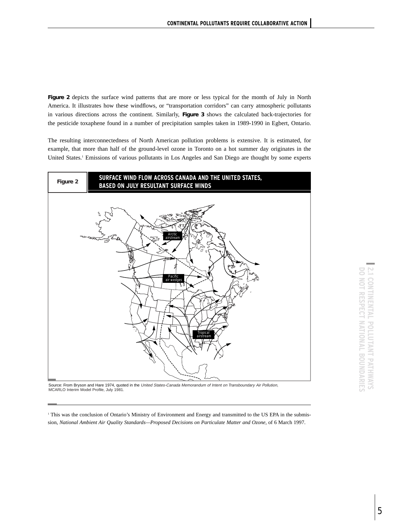**Figure 2** depicts the surface wind patterns that are more or less typical for the month of July in North America. It illustrates how these windflows, or "transportation corridors" can carry atmospheric pollutants in various directions across the continent. Similarly, **Figure 3** shows the calculated back-trajectories for the pesticide toxaphene found in a number of precipitation samples taken in 1989-1990 in Egbert, Ontario.

The resulting interconnectedness of North American pollution problems is extensive. It is estimated, for example, that more than half of the ground-level ozone in Toronto on a hot summer day originates in the United States.<sup>1</sup> Emissions of various pollutants in Los Angeles and San Diego are thought by some experts



Source: From Bryson and Hare 1974, quoted in the United States-Canada Memorandum of Intent on Transboundary Air Pollution, MCARLO Interim Model Profile, July 1981.

<sup>1</sup> This was the conclusion of Ontario's Ministry of Environment and Energy and transmitted to the US EPA in the submission, *National Ambient Air Quality Standards—Proposed Decisions on Particulate Matter and Ozone,* of 6 March 1997.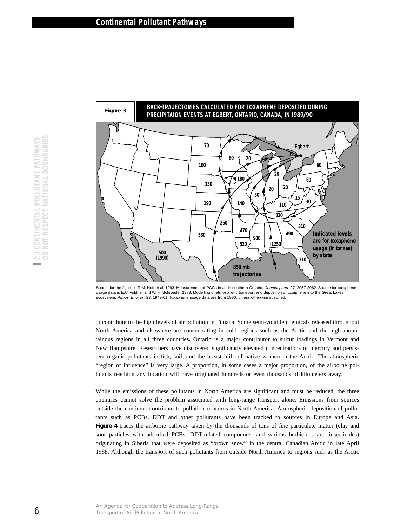

Source for the figure is R.M. Hoff et al. 1993. Measurement of PCCs in air in southern Ontario. Chemosphere 27: 2057-2062. Source for toxaphene usage data is E.C. Voldner and W. H. Schroeder 1989. Modelling of atmospheric transport and deposition of toxaphene into the Great Lakes ecosystem. Atmos. Environ. 23: 1949-61. Toxaphene usage data are from 1980, unless otherwise specified.

to contribute to the high levels of air pollution in Tijuana. Some semi-volatile chemicals released throughout North America and elsewhere are concentrating in cold regions such as the Arctic and the high mountainous regions in all three countries. Ontario is a major contributor to sulfur loadings in Vermont and New Hampshire. Researchers have discovered significantly elevated concentrations of mercury and persistent organic pollutants in fish, soil, and the breast milk of native women in the Arctic. The atmospheric "region of influence" is very large. A proportion, in some cases a major proportion, of the airborne pollutants reaching any location will have originated hundreds or even thousands of kilometers away.

While the emissions of these pollutants in North America are significant and must be reduced, the three countries cannot solve the problem associated with long-range transport alone. Emissions from sources outside the continent contribute to pollution concerns in North America. Atmospheric deposition of pollutants such as PCBs, DDT and other pollutants have been tracked to sources in Europe and Asia. **Figure 4** traces the airborne pathway taken by the thousands of tons of fine particulate matter (clay and soot particles with adsorbed PCBs, DDT-related compounds, and various herbicides and insecticides) originating in Siberia that were deposited as "brown snow" in the central Canadian Arctic in late April 1988. Although the transport of such pollutants from outside North America to regions such as the Arctic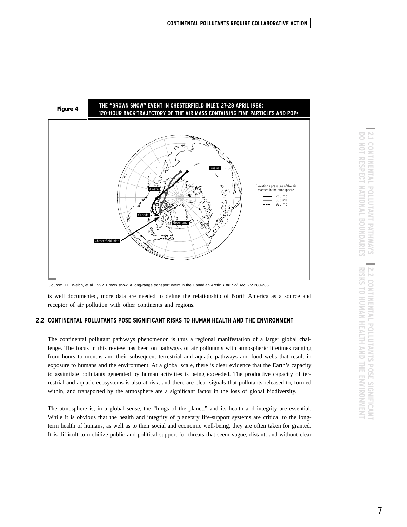

Source: H.E. Welch, et al. 1992. Brown snow: A long-range transport event in the Canadian Arctic. Env. Sci. Tec. 25: 280-286.

is well documented, more data are needed to define the relationship of North America as a source and receptor of air pollution with other continents and regions.

## **2.2 CONTINENTAL POLLUTANTS POSE SIGNIFICANT RISKS TO HUMAN HEALTH AND THE ENVIRONMENT**

The continental pollutant pathways phenomenon is thus a regional manifestation of a larger global challenge. The focus in this review has been on pathways of air pollutants with atmospheric lifetimes ranging from hours to months and their subsequent terrestrial and aquatic pathways and food webs that result in exposure to humans and the environment. At a global scale, there is clear evidence that the Earth's capacity to assimilate pollutants generated by human activities is being exceeded. The productive capacity of terrestrial and aquatic ecosystems is also at risk, and there are clear signals that pollutants released to, formed within, and transported by the atmosphere are a significant factor in the loss of global biodiversity.

The atmosphere is, in a global sense, the "lungs of the planet," and its health and integrity are essential. While it is obvious that the health and integrity of planetary life-support systems are critical to the longterm health of humans, as well as to their social and economic well-being, they are often taken for granted. It is difficult to mobilize public and political support for threats that seem vague, distant, and without clear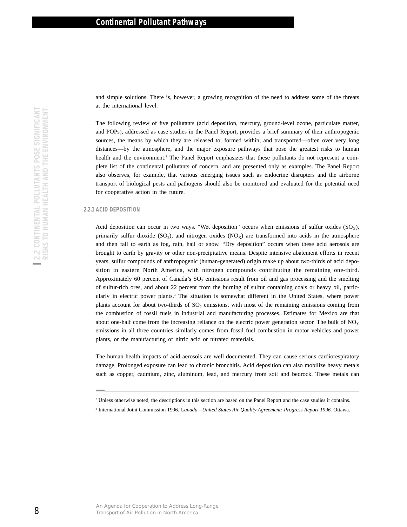and simple solutions. There is, however, a growing recognition of the need to address some of the threats at the international level.

The following review of five pollutants (acid deposition, mercury, ground-level ozone, particulate matter, and POPs), addressed as case studies in the Panel Report, provides a brief summary of their anthropogenic sources, the means by which they are released to, formed within, and transported—often over very long distances—by the atmosphere, and the major exposure pathways that pose the greatest risks to human health and the environment.<sup>2</sup> The Panel Report emphasizes that these pollutants do not represent a complete list of the continental pollutants of concern, and are presented only as examples. The Panel Report also observes, for example, that various emerging issues such as endocrine disrupters and the airborne transport of biological pests and pathogens should also be monitored and evaluated for the potential need for cooperative action in the future.

## **2.2.1 ACID DEPOSITION**

Acid deposition can occur in two ways. "Wet deposition" occurs when emissions of sulfur oxides  $(SO<sub>x</sub>)$ , primarily sulfur dioxide  $(SO<sub>2</sub>)$ , and nitrogen oxides  $(NO<sub>X</sub>)$  are transformed into acids in the atmosphere and then fall to earth as fog, rain, hail or snow. "Dry deposition" occurs when these acid aerosols are brought to earth by gravity or other non-precipitative means. Despite intensive abatement efforts in recent years, sulfur compounds of anthropogenic (human-generated) origin make up about two-thirds of acid deposition in eastern North America, with nitrogen compounds contributing the remaining one-third. Approximately 60 percent of Canada's SO<sub>2</sub> emissions result from oil and gas processing and the smelting of sulfur-rich ores, and about 22 percent from the burning of sulfur containing coals or heavy oil, particularly in electric power plants.3 The situation is somewhat different in the United States, where power plants account for about two-thirds of  $SO_2$  emissions, with most of the remaining emissions coming from the combustion of fossil fuels in industrial and manufacturing processes. Estimates for Mexico are that about one-half come from the increasing reliance on the electric power generation sector. The bulk of  $NO<sub>X</sub>$ emissions in all three countries similarly comes from fossil fuel combustion in motor vehicles and power plants, or the manufacturing of nitric acid or nitrated materials. At the international is<br>very of the pollutions to the Panel sources, the means by which they are relaxed to discusse<br>the same Sources, the means by which they are relaxed to discusse the forener<br>sources, the means by whic

The human health impacts of acid aerosols are well documented. They can cause serious cardiorespiratory damage. Prolonged exposure can lead to chronic bronchitis. Acid deposition can also mobilize heavy metals such as copper, cadmium, zinc, aluminum, lead, and mercury from soil and bedrock. These metals can

<sup>2</sup> Unless otherwise noted, the descriptions in this section are based on the Panel Report and the case studies it contains.

<sup>3</sup> International Joint Commission 1996. *Canada—United States Air Quality Agreement: Progress Report 1996.* Ottawa.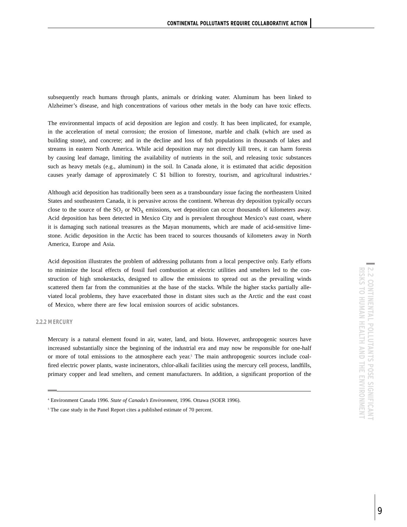subsequently reach humans through plants, animals or drinking water. Aluminum has been linked to Alzheimer's disease, and high concentrations of various other metals in the body can have toxic effects.

The environmental impacts of acid deposition are legion and costly. It has been implicated, for example, in the acceleration of metal corrosion; the erosion of limestone, marble and chalk (which are used as building stone), and concrete; and in the decline and loss of fish populations in thousands of lakes and streams in eastern North America. While acid deposition may not directly kill trees, it can harm forests by causing leaf damage, limiting the availability of nutrients in the soil, and releasing toxic substances such as heavy metals (e.g., aluminum) in the soil. In Canada alone, it is estimated that acidic deposition causes yearly damage of approximately C \$1 billion to forestry, tourism, and agricultural industries.4

Although acid deposition has traditionally been seen as a transboundary issue facing the northeastern United States and southeastern Canada, it is pervasive across the continent. Whereas dry deposition typically occurs close to the source of the  $SO_2$  or  $NO<sub>x</sub>$  emissions, wet deposition can occur thousands of kilometers away. Acid deposition has been detected in Mexico City and is prevalent throughout Mexico's east coast, where it is damaging such national treasures as the Mayan monuments, which are made of acid-sensitive limestone. Acidic deposition in the Arctic has been traced to sources thousands of kilometers away in North America, Europe and Asia.

Acid deposition illustrates the problem of addressing pollutants from a local perspective only. Early efforts to minimize the local effects of fossil fuel combustion at electric utilities and smelters led to the construction of high smokestacks, designed to allow the emissions to spread out as the prevailing winds scattered them far from the communities at the base of the stacks. While the higher stacks partially alleviated local problems, they have exacerbated those in distant sites such as the Arctic and the east coast of Mexico, where there are few local emission sources of acidic substances.

## **2.2.2 MERCURY**

Mercury is a natural element found in air, water, land, and biota. However, anthropogenic sources have increased substantially since the beginning of the industrial era and may now be responsible for one-half or more of total emissions to the atmosphere each year. <sup>5</sup> The main anthropogenic sources include coalfired electric power plants, waste incinerators, chlor-alkali facilities using the mercury cell process, landfills, primary copper and lead smelters, and cement manufacturers. In addition, a significant proportion of the

<sup>4</sup> Environment Canada 1996. *State of Canada's Environment,* 1996. Ottawa (SOER 1996).

<sup>&</sup>lt;sup>5</sup> The case study in the Panel Report cites a published estimate of 70 percent.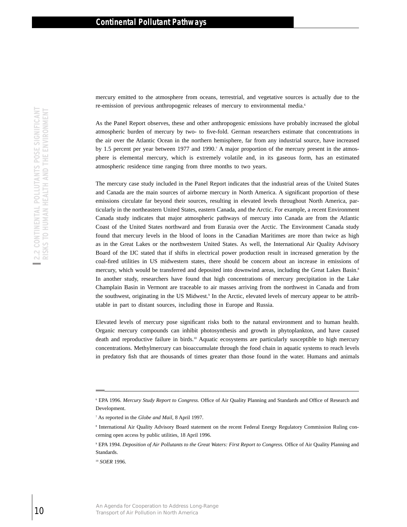mercury emitted to the atmosphere from oceans, terrestrial, and vegetative sources is actually due to the re-emission of previous anthropogenic releases of mercury to environmental media.<sup>6</sup>

As the Panel Report observes, these and other anthropogenic emissions have probably increased the global atmospheric burden of mercury by two- to five-fold. German researchers estimate that concentrations in the air over the Atlantic Ocean in the northern hemisphere, far from any industrial source, have increased by 1.5 percent per year between 1977 and 1990.7 A major proportion of the mercury present in the atmosphere is elemental mercury, which is extremely volatile and, in its gaseous form, has an estimated atmospheric residence time ranging from three months to two years.

The mercury case study included in the Panel Report indicates that the industrial areas of the United States and Canada are the main sources of airborne mercury in North America. A significant proportion of these emissions circulate far beyond their sources, resulting in elevated levels throughout North America, particularly in the northeastern United States, eastern Canada, and the Arctic. For example, a recent Environment Canada study indicates that major atmospheric pathways of mercury into Canada are from the Atlantic Coast of the United States northward and from Eurasia over the Arctic. The Environment Canada study found that mercury levels in the blood of loons in the Canadian Maritimes are more than twice as high as in the Great Lakes or the northwestern United States. As well, the International Air Quality Advisory Board of the IJC stated that if shifts in electrical power production result in increased generation by the coal-fired utilities in US midwestern states, there should be concern about an increase in emissions of mercury, which would be transferred and deposited into downwind areas, including the Great Lakes Basin.<sup>8</sup> In another study, researchers have found that high concentrations of mercury precipitation in the Lake Champlain Basin in Vermont are traceable to air masses arriving from the northwest in Canada and from the southwest, originating in the US Midwest.9 In the Arctic, elevated levels of mercury appear to be attributable in part to distant sources, including those in Europe and Russia. Fremission or previous anthropogenic releases to<br>As the Paule Report observes, these and other aims of Air Pollution Cocases, these and other aims and policy<br>by LS percent per year between 1977 and 1990;<br> $\frac{1}{2}$  Polen a

Elevated levels of mercury pose significant risks both to the natural environment and to human health. Organic mercury compounds can inhibit photosynthesis and growth in phytoplankton, and have caused death and reproductive failure in birds.<sup>10</sup> Aquatic ecosystems are particularly susceptible to high mercury concentrations. Methylmercury can bioaccumulate through the food chain in aquatic systems to reach levels in predatory fish that are thousands of times greater than those found in the water. Humans and animals

<sup>6</sup> EPA 1996. *Mercury Study Report to Congress.* Office of Air Quality Planning and Standards and Office of Research and Development.

<sup>7</sup> As reported in the *Globe and Mail*, 8 April 1997.

<sup>8</sup> International Air Quality Advisory Board statement on the recent Federal Energy Regulatory Commission Ruling concerning open access by public utilities, 18 April 1996.

<sup>9</sup> EPA 1994. *Deposition of Air Pollutants to the Great Waters: First Report to Congress.* Office of Air Quality Planning and Standards.

<sup>10</sup> *SOER* 1996.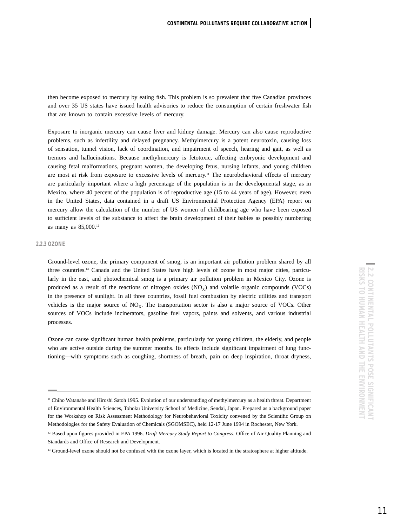then become exposed to mercury by eating fish. This problem is so prevalent that five Canadian provinces and over 35 US states have issued health advisories to reduce the consumption of certain freshwater fish that are known to contain excessive levels of mercury.

Exposure to inorganic mercury can cause liver and kidney damage. Mercury can also cause reproductive problems, such as infertility and delayed pregnancy. Methylmercury is a potent neurotoxin, causing loss of sensation, tunnel vision, lack of coordination, and impairment of speech, hearing and gait, as well as tremors and hallucinations. Because methylmercury is fetotoxic, affecting embryonic development and causing fetal malformations, pregnant women, the developing fetus, nursing infants, and young children are most at risk from exposure to excessive levels of mercury.<sup>11</sup> The neurobehavioral effects of mercury are particularly important where a high percentage of the population is in the developmental stage, as in Mexico, where 40 percent of the population is of reproductive age (15 to 44 years of age). However, even in the United States, data contained in a draft US Environmental Protection Agency (EPA) report on mercury allow the calculation of the number of US women of childbearing age who have been exposed to sufficient levels of the substance to affect the brain development of their babies as possibly numbering as many as 85,000.12

## **2.2.3 OZONE**

Ground-level ozone, the primary component of smog, is an important air pollution problem shared by all three countries.13 Canada and the United States have high levels of ozone in most major cities, particularly in the east, and photochemical smog is a primary air pollution problem in Mexico City. Ozone is produced as a result of the reactions of nitrogen oxides  $(NO<sub>x</sub>)$  and volatile organic compounds  $(VOCs)$ in the presence of sunlight. In all three countries, fossil fuel combustion by electric utilities and transport vehicles is the major source of  $NO<sub>X</sub>$ . The transportation sector is also a major source of VOCs. Other sources of VOCs include incinerators, gasoline fuel vapors, paints and solvents, and various industrial processes.

Ozone can cause significant human health problems, particularly for young children, the elderly, and people who are active outside during the summer months. Its effects include significant impairment of lung functioning—with symptoms such as coughing, shortness of breath, pain on deep inspiration, throat dryness,

<sup>&</sup>lt;sup>11</sup> Chiho Watanabe and Hiroshi Satoh 1995. Evolution of our understanding of methylmercury as a health threat. Department of Environmental Health Sciences, Tohoku University School of Medicine, Sendai, Japan. Prepared as a background paper for the Workshop on Risk Assessment Methodology for Neurobehavioral Toxicity convened by the Scientific Group on Methodologies for the Safety Evaluation of Chemicals (SGOMSEC), held 12-17 June 1994 in Rochester, New York.

<sup>12</sup> Based upon figures provided in EPA 1996. *Draft Mercury Study Report to Congress.* Office of Air Quality Planning and Standards and Office of Research and Development.

<sup>&</sup>lt;sup>13</sup> Ground-level ozone should not be confused with the ozone layer, which is located in the stratosphere at higher altitude.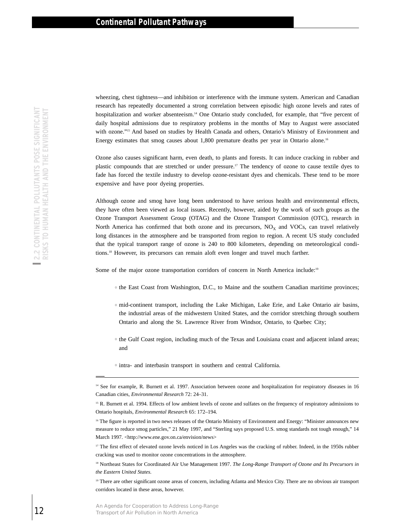wheezing, chest tightness—and inhibition or interference with the immune system. American and Canadian research has repeatedly documented a strong correlation between episodic high ozone levels and rates of hospitalization and worker absenteeism.<sup>14</sup> One Ontario study concluded, for example, that "five percent of daily hospital admissions due to respiratory problems in the months of May to August were associated with ozone."<sup>15</sup> And based on studies by Health Canada and others, Ontario's Ministry of Environment and Energy estimates that smog causes about 1,800 premature deaths per year in Ontario alone.<sup>16</sup>

Ozone also causes significant harm, even death, to plants and forests. It can induce cracking in rubber and plastic compounds that are stretched or under pressure.17 The tendency of ozone to cause textile dyes to fade has forced the textile industry to develop ozone-resistant dyes and chemicals. These tend to be more expensive and have poor dyeing properties.

Although ozone and smog have long been understood to have serious health and environmental effects, they have often been viewed as local issues. Recently, however, aided by the work of such groups as the Ozone Transport Assessment Group (OTAG) and the Ozone Transport Commission (OTC), research in North America has confirmed that both ozone and its precursors,  $NO<sub>X</sub>$  and VOCs, can travel relatively long distances in the atmosphere and be transported from region to region. A recent US study concluded that the typical transport range of ozone is 240 to 800 kilometers, depending on meteorological conditions.18 However, its precursors can remain aloft even longer and travel much farther. Example the cooperation of Cooperation (Scotlandia for Cooperation) produces Long-Range 12 Transport of Air Pole Distribution to the Content of an IR Although the Content of America Content Content Significant harm, even

Some of the major ozone transportation corridors of concern in North America include:<sup>19</sup>

- $\circ$  the East Coast from Washington, D.C., to Maine and the southern Canadian maritime provinces;
- $\circ$  mid-continent transport, including the Lake Michigan, Lake Erie, and Lake Ontario air basins, the industrial areas of the midwestern United States, and the corridor stretching through southern Ontario and along the St. Lawrence River from Windsor, Ontario, to Quebec City;
- $\circ$  the Gulf Coast region, including much of the Texas and Louisiana coast and adjacent inland areas; and
- $\circ$  intra- and interbasin transport in southern and central California.

<sup>16</sup> The figure is reported in two news releases of the Ontario Ministry of Environment and Energy: "Minister announces new measure to reduce smog particles," 21 May 1997, and "Sterling says proposed U.S. smog standards not tough enough," 14 March 1997. [<http://www.ene.gov.on.ca/envision/news>](http://www.ene.gov.on.ca/envision/news)

<sup>17</sup> The first effect of elevated ozone levels noticed in Los Angeles was the cracking of rubber. Indeed, in the 1950s rubber cracking was used to monitor ozone concentrations in the atmosphere.

<sup>18</sup> Northeast States for Coordinated Air Use Management 1997. *The Long-Range Transport of Ozone and Its Precursors in the Eastern United States.*

<sup>19</sup> There are other significant ozone areas of concern, including Atlanta and Mexico City. There are no obvious air transport corridors located in these areas, however.

<sup>&</sup>lt;sup>14</sup> See for example, R. Burnett et al. 1997. Association between ozone and hospitalization for respiratory diseases in 16 Canadian cities, *Environmental Research* 72: 24–31.

<sup>&</sup>lt;sup>15</sup> R. Burnett et al. 1994. Effects of low ambient levels of ozone and sulfates on the frequency of respiratory admissions to Ontario hospitals, *Environmental Research* 65: 172–194.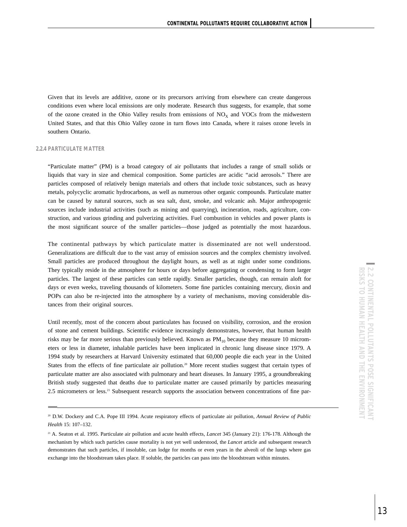Given that its levels are additive, ozone or its precursors arriving from elsewhere can create dangerous conditions even where local emissions are only moderate. Research thus suggests, for example, that some of the ozone created in the Ohio Valley results from emissions of  $NO<sub>X</sub>$  and VOCs from the midwestern United States, and that this Ohio Valley ozone in turn flows into Canada, where it raises ozone levels in southern Ontario.

## **2.2.4 PARTICULATE MATTER**

"Particulate matter" (PM) is a broad category of air pollutants that includes a range of small solids or liquids that vary in size and chemical composition. Some particles are acidic "acid aerosols." There are particles composed of relatively benign materials and others that include toxic substances, such as heavy metals, polycyclic aromatic hydrocarbons, as well as numerous other organic compounds. Particulate matter can be caused by natural sources, such as sea salt, dust, smoke, and volcanic ash. Major anthropogenic sources include industrial activities (such as mining and quarrying), incineration, roads, agriculture, construction, and various grinding and pulverizing activities. Fuel combustion in vehicles and power plants is the most significant source of the smaller particles—those judged as potentially the most hazardous.

The continental pathways by which particulate matter is disseminated are not well understood. Generalizations are difficult due to the vast array of emission sources and the complex chemistry involved. Small particles are produced throughout the daylight hours, as well as at night under some conditions. They typically reside in the atmosphere for hours or days before aggregating or condensing to form larger particles. The largest of these particles can settle rapidly. Smaller particles, though, can remain aloft for days or even weeks, traveling thousands of kilometers. Some fine particles containing mercury, dioxin and POPs can also be re-injected into the atmosphere by a variety of mechanisms, moving considerable distances from their original sources.

Until recently, most of the concern about particulates has focused on visibility, corrosion, and the erosion of stone and cement buildings. Scientific evidence increasingly demonstrates, however, that human health risks may be far more serious than previously believed. Known as  $PM_{10}$  because they measure 10 micrometers or less in diameter, inhalable particles have been implicated in chronic lung disease since 1979. A 1994 study by researchers at Harvard University estimated that 60,000 people die each year in the United States from the effects of fine particulate air pollution.<sup>20</sup> More recent studies suggest that certain types of particulate matter are also associated with pulmonary and heart diseases. In January 1995, a groundbreaking British study suggested that deaths due to particulate matter are caused primarily by particles measuring 2.5 micrometers or less.<sup>21</sup> Subsequent research supports the association between concentrations of fine par-

<sup>20</sup> D.W. Dockery and C.A. Pope III 1994. Acute respiratory effects of particulate air pollution, *Annual Review of Public Health* 15: 107–132.

<sup>21</sup> A. Seaton et al. 1995. Particulate air pollution and acute health effects, *Lancet* 345 (January 21): 176-178. Although the mechanism by which such particles cause mortality is not yet well understood, the *Lancet* article and subsequent research demonstrates that such particles, if insoluble, can lodge for months or even years in the alveoli of the lungs where gas exchange into the bloodstream takes place. If soluble, the particles can pass into the bloodstream within minutes.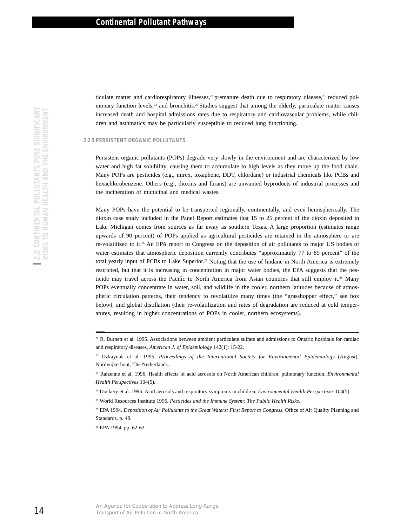ticulate matter and cardiorespiratory illnesses,<sup>22</sup> premature death due to respiratory disease,<sup>23</sup> reduced pulmonary function levels, $24$  and bronchitis.<sup>25</sup> Studies suggest that among the elderly, particulate matter causes increased death and hospital admissions rates due to respiratory and cardiovascular problems, while children and asthmatics may be particularly susceptible to reduced lung functioning.

#### **2.2.5 PERSISTENT ORGANIC POLLUTANTS**

Persistent organic pollutants (POPs) degrade very slowly in the environment and are characterized by low water and high fat solubility, causing them to accumulate to high levels as they move up the food chain. Many POPs are pesticides (e.g., mirex, toxaphene, DDT, chlordane) or industrial chemicals like PCBs and hexachlorobenzene. Others (e.g., dioxins and furans) are unwanted byproducts of industrial processes and the incineration of municipal and medical wastes.

Many POPs have the potential to be transported regionally, continentally, and even hemispherically. The dioxin case study included in the Panel Report estimates that 15 to 25 percent of the dioxin deposited in Lake Michigan comes from sources as far away as southern Texas. A large proportion (estimates range upwards of 90 percent) of POPs applied as agricultural pesticides are retained in the atmosphere or are re-volatilized to it.26 An EPA report to Congress on the deposition of air pollutants to major US bodies of water estimates that atmospheric deposition currently contributes "approximately 77 to 89 percent" of the total yearly input of PCBs to Lake Superior.<sup>27</sup> Noting that the use of lindane in North America is extremely restricted, but that it is increasing in concentration in major water bodies, the EPA suggests that the pesticide may travel across the Pacific to North America from Asian countries that still employ it.28 Many POPs eventually concentrate in water, soil, and wildlife in the cooler, northern latitudes because of atmospheric circulation patterns, their tendency to revolatilize many times (the "grasshopper effect," see box below), and global distillation (their re-volatilization and rates of degradation are reduced at cold temperatures, resulting in higher concentrations of POPs in cooler, northern ecosystems). 14 Transport the Control of New Year and Done of Air Pollution in North America CONTINUATION of America and America CONTINUATION in North America 2.2 CONTINUATION in North America CONTINUATION in North America CONTINUATIO

 $22$  R. Burnett et al. 1995. Associations between ambient particulate sulfate and admissions to Ontario hospitals for cardiac and respiratory diseases, *American J. of Epidemiology* 142(1): 15-22.

<sup>23</sup> Ozkaynak et al. 1995. *Proceedings of the International Society for Environmental Epidemiology* (August). Nordwijkerhout, The Netherlands.

<sup>24</sup> Raizenne et al. 1996. Health effects of acid aerosols on North American children: pulmonary function, *Environmental Health Perspectives* 104(5).

<sup>25</sup> Dockery et al. 1996. Acid aerosols and respiratory symptoms in children, *Environmental Health Perspectives* 104(5).

<sup>26</sup> World Resources Institute 1996. *Pesticides and the Immune System: The Public Health Risks.*

<sup>27</sup> EPA 1994. *Deposition of Air Pollutants to the Great Waters: First Report to Congress.* Office of Air Quality Planning and Standards, p. 49.

<sup>28</sup> EPA 1994. pp. 62-63.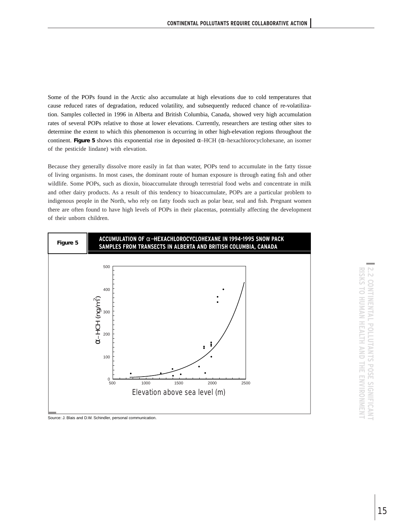Some of the POPs found in the Arctic also accumulate at high elevations due to cold temperatures that cause reduced rates of degradation, reduced volatility, and subsequently reduced chance of re-volatilization. Samples collected in 1996 in Alberta and British Columbia, Canada, showed very high accumulation rates of several POPs relative to those at lower elevations. Currently, researchers are testing other sites to determine the extent to which this phenomenon is occurring in other high-elevation regions throughout the continent. **Figure 5** shows this exponential rise in deposited α–HCH (α–hexachlorocyclohexane, an isomer of the pesticide lindane) with elevation.

Because they generally dissolve more easily in fat than water, POPs tend to accumulate in the fatty tissue of living organisms. In most cases, the dominant route of human exposure is through eating fish and other wildlife. Some POPs, such as dioxin, bioaccumulate through terrestrial food webs and concentrate in milk and other dairy products. As a result of this tendency to bioaccumulate, POPs are a particular problem to indigenous people in the North, who rely on fatty foods such as polar bear, seal and fish. Pregnant women there are often found to have high levels of POPs in their placentas, potentially affecting the development of their unborn children.



Source: J. Blais and D.W. Schindler, personal communication.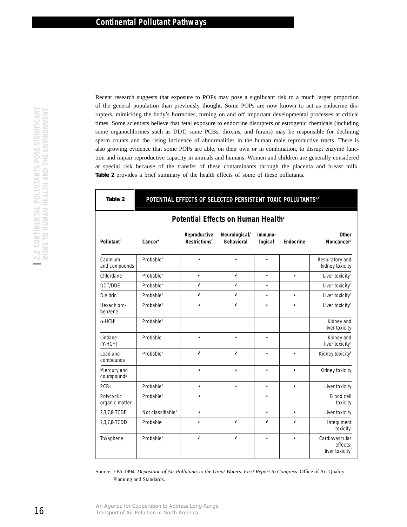Recent research suggests that exposure to POPs may pose a significant risk to a much larger proportion of the general population than previously thought. Some POPs are now known to act as endocrine disrupters, mimicking the body's hormones, turning on and off important developmental processes at critical times. Some scientists believe that fetal exposure to endocrine disrupters or estrogenic chemicals (including some organochlorines such as DDT, some PCBs, dioxins, and furans) may be responsible for declining sperm counts and the rising incidence of abnormalities in the human male reproductive tracts. There is also growing evidence that some POPs are able, on their own or in combination, to disrupt enzyme function and impair reproductive capacity in animals and humans. Women and children are generally considered at special risk because of the transfer of these contaminants through the placenta and breast milk. **Table 2** provides a brief summary of the health effects of some of these pollutants.

| Table 2 |  |  |  | POTENTIAL EFFECTS OF SELECTED PERSISTENT TOXIC POLLUTANTS** |
|---------|--|--|--|-------------------------------------------------------------|
|---------|--|--|--|-------------------------------------------------------------|

| also growing evidence that some POPs are able, on their own or in combination, to disrupt enzyme func<br>tion and impair reproductive capacity in animals and humans. Women and children are generally considered<br>at special risk because of the transfer of these contaminants through the placenta and breast milk<br>Table 2 provides a brief summary of the health effects of some of these pollutants. |                                                                          |                                                |                                    |                    |           |                                           |
|----------------------------------------------------------------------------------------------------------------------------------------------------------------------------------------------------------------------------------------------------------------------------------------------------------------------------------------------------------------------------------------------------------------|--------------------------------------------------------------------------|------------------------------------------------|------------------------------------|--------------------|-----------|-------------------------------------------|
| Table 2                                                                                                                                                                                                                                                                                                                                                                                                        | POTENTIAL EFFECTS OF SELECTED PERSISTENT TOXIC POLLUTANTS <sup>a,b</sup> |                                                |                                    |                    |           |                                           |
|                                                                                                                                                                                                                                                                                                                                                                                                                |                                                                          | Potential Effects on Human Health <sup>c</sup> |                                    |                    |           |                                           |
| Pollutant <sup>d</sup>                                                                                                                                                                                                                                                                                                                                                                                         | Cancer <sup>e</sup>                                                      | Reproductive<br>Restrictions <sup>f</sup>      | Neurological/<br><b>Behavioral</b> | Immuno-<br>logical | Endocrine | Noncancer <sup>g</sup>                    |
| Cadmium<br>and compounds                                                                                                                                                                                                                                                                                                                                                                                       | Probable <sup>h</sup>                                                    |                                                |                                    |                    |           | Respiratory and<br>kidney toxicity        |
| Chlordane                                                                                                                                                                                                                                                                                                                                                                                                      | Probable <sup>h</sup>                                                    | $\cdot^{\text{f}}$                             | $\cdot^{\text{f}}$                 | $\bullet$          | $\bullet$ | Liver toxicity <sup>h</sup>               |
| DDT/DDE                                                                                                                                                                                                                                                                                                                                                                                                        | Probable <sup>h</sup>                                                    | $\cdot$                                        | $\centerdot$                       |                    |           | Liver toxicity <sup>h</sup>               |
| Dieldrin                                                                                                                                                                                                                                                                                                                                                                                                       | Probable <sup>h</sup>                                                    | $\cdot^{\mathsf{h}}$                           | $\cdot^{\text{f}}$                 | $\bullet$          | $\bullet$ | Liver toxicity <sup>h</sup>               |
| Hexachloro-<br>benzene                                                                                                                                                                                                                                                                                                                                                                                         | Probable <sup>h</sup>                                                    |                                                | $\cdot^{\rm h}$                    |                    |           | Liver toxicity <sup>h</sup>               |
| $\alpha$ -HCH <sup>®</sup>                                                                                                                                                                                                                                                                                                                                                                                     | Probable <sup>h</sup>                                                    |                                                |                                    |                    |           | Kidney and<br>liver toxicity              |
| Lindane<br>(Y-HCH)                                                                                                                                                                                                                                                                                                                                                                                             | Probable                                                                 |                                                |                                    |                    |           | Kidney and<br>liver toxicity <sup>h</sup> |
| Lead and<br>compounds                                                                                                                                                                                                                                                                                                                                                                                          | Probable <sup>h</sup>                                                    | $\bullet^{\mathsf{k}}$                         | $\bullet^{\mathsf{k}}$             |                    |           | Kidney toxicity <sup>k</sup>              |
| Mercury and<br>coumpounds                                                                                                                                                                                                                                                                                                                                                                                      |                                                                          |                                                |                                    |                    |           | Kidney toxicity                           |
| <b>PCBs</b>                                                                                                                                                                                                                                                                                                                                                                                                    | Probable <sup>h</sup>                                                    | $\bullet$                                      | $\bullet$                          | $\bullet$          | $\bullet$ | Liver toxicity                            |
| Polycyclic<br>organic matter                                                                                                                                                                                                                                                                                                                                                                                   | Probable <sup>h</sup>                                                    |                                                |                                    |                    |           | Blood cell                                |
| 2,3,7,8-TCDF                                                                                                                                                                                                                                                                                                                                                                                                   | Not classifiable <sup>h</sup>                                            |                                                |                                    |                    |           | Liver toxicity                            |
| 2,3,7,8-TCDD                                                                                                                                                                                                                                                                                                                                                                                                   | Probable                                                                 | اء                                             | $\cdot^{\mathsf{I}}$               | اه                 | اء        | Integument                                |
| Toxaphene                                                                                                                                                                                                                                                                                                                                                                                                      | Probable <sup>h</sup>                                                    | $\centerdot^{\text{f}}$                        | $\cdot^{\text{f}}$                 |                    | $\bullet$ | Cardiovascular<br>liver toxicityf         |

## **Potential Effects on Human Health**<sup>c</sup>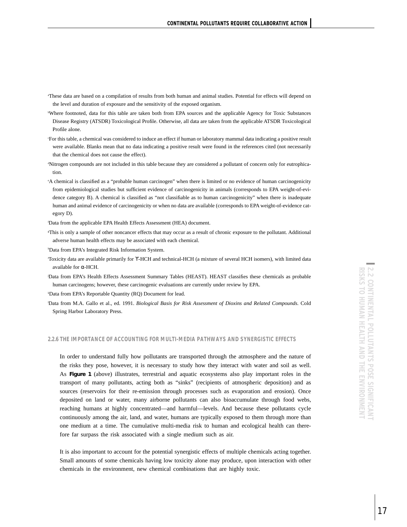- a These data are based on a compilation of results from both human and animal studies. Potential for effects will depend on the level and duration of exposure and the sensitivity of the exposed organism.
- b Where footnoted, data for this table are taken both from EPA sources and the applicable Agency for Toxic Substances Disease Registry (ATSDR) Toxicological Profile. Otherwise, all data are taken from the applicable ATSDR Toxicological Profile alone.
- c For this table, a chemical was considered to induce an effect if human or laboratory mammal data indicating a positive result were available. Blanks mean that no data indicating a positive result were found in the references cited (not necessarily that the chemical does not cause the effect).
- d Nitrogen compounds are not included in this table because they are considered a pollutant of concern only for eutrophication.
- e A chemical is classified as a "probable human carcinogen" when there is limited or no evidence of human carcinogenicity from epidemiological studies but sufficient evidence of carcinogenicity in animals (corresponds to EPA weight-of-evidence category B). A chemical is classified as "not classifiable as to human carcinogenicity" when there is inadequate human and animal evidence of carcinogenicity or when no data are available (corresponds to EPA weight-of-evidence category D).
- f Data from the applicable EPA Health Effects Assessment (HEA) document.
- g This is only a sample of other noncancer effects that may occur as a result of chronic exposure to the pollutant. Additional adverse human health effects may be associated with each chemical.

h Data from EPA's Integrated Risk Information System.

i Toxicity data are available primarily for ϒ-HCH and technical-HCH (a mixture of several HCH isomers), with limited data available for α-HCH.

j Data from EPA's Health Effects Assessment Summary Tables (HEAST). HEAST classifies these chemicals as probable human carcinogens; however, these carcinogenic evaluations are currently under review by EPA.

k Data from EPA's Reportable Quantity (RQ) Document for lead.

l Data from M.A. Gallo et al., ed. 1991. *Biological Basis for Risk Assessment of Dioxins and Related Compounds.* Cold Spring Harbor Laboratory Press.

#### **2.2.6 THE IMPORTANCE OF ACCOUNTING FOR MULTI-MEDIA PATHWAYS AND SYNERGISTIC EFFECTS**

In order to understand fully how pollutants are transported through the atmosphere and the nature of the risks they pose, however, it is necessary to study how they interact with water and soil as well. As **Figure 1** (above) illustrates, terrestrial and aquatic ecosystems also play important roles in the transport of many pollutants, acting both as "sinks" (recipients of atmospheric deposition) and as sources (reservoirs for their re-emission through processes such as evaporation and erosion). Once deposited on land or water, many airborne pollutants can also bioaccumulate through food webs, reaching humans at highly concentrated—and harmful—levels. And because these pollutants cycle continuously among the air, land, and water, humans are typically exposed to them through more than one medium at a time. The cumulative multi-media risk to human and ecological health can therefore far surpass the risk associated with a single medium such as air.

It is also important to account for the potential synergistic effects of multiple chemicals acting together. Small amounts of some chemicals having low toxicity alone may produce, upon interaction with other chemicals in the environment, new chemical combinations that are highly toxic.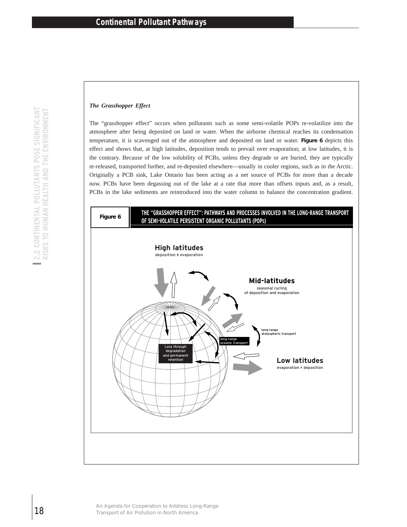## *The Grasshopper Effect*

The "grasshopper effect" occurs when pollutants such as some semi-volatile POPs re-volatilize into the atmosphere after being deposited on land or water. When the airborne chemical reaches its condensation temperature, it is scavenged out of the atmosphere and deposited on land or water. **Figure 6** depicts this effect and shows that, at high latitudes, deposition tends to prevail over evaporation; at low latitudes, it is the contrary. Because of the low solubility of PCBs, unless they degrade or are buried, they are typically re-released, transported further, and re-deposited elsewhere—usually in cooler regions, such as in the Arctic. Originally a PCB sink, Lake Ontario has been acting as a net source of PCBs for more than a decade now. PCBs have been degassing out of the lake at a rate that more than offsets inputs and, as a result, PCBs in the lake sediments are reintroduced into the water column to balance the concentration gradient.

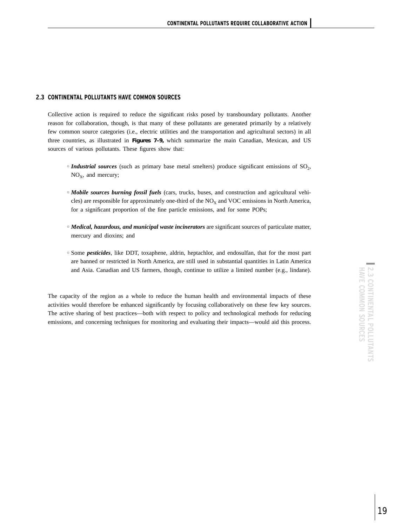## **2.3 CONTINENTAL POLLUTANTS HAVE COMMON SOURCES**

Collective action is required to reduce the significant risks posed by transboundary pollutants. Another reason for collaboration, though, is that many of these pollutants are generated primarily by a relatively few common source categories (i.e., electric utilities and the transportation and agricultural sectors) in all three countries, as illustrated in **Figures 7–9,** which summarize the main Canadian, Mexican, and US sources of various pollutants. These figures show that:

- *Industrial sources* (such as primary base metal smelters) produce significant emissions of SO<sub>2</sub>,  $NO<sub>x</sub>$ , and mercury;
- $\circ$  *Mobile sources burning fossil fuels* (cars, trucks, buses, and construction and agricultural vehicles) are responsible for approximately one-third of the  $NO<sub>X</sub>$  and VOC emissions in North America, for a significant proportion of the fine particle emissions, and for some POPs;
- $\circ$  *Medical, hazardous, and municipal waste incinerators* are significant sources of particulate matter, mercury and dioxins; and
- <sup>h</sup> Some *pesticides*, like DDT, toxaphene, aldrin, heptachlor, and endosulfan, that for the most part are banned or restricted in North America, are still used in substantial quantities in Latin America and Asia. Canadian and US farmers, though, continue to utilize a limited number (e.g., lindane).

The capacity of the region as a whole to reduce the human health and environmental impacts of these activities would therefore be enhanced significantly by focusing collaboratively on these few key sources. The active sharing of best practices—both with respect to policy and technological methods for reducing emissions, and concerning techniques for monitoring and evaluating their impacts—would aid this process.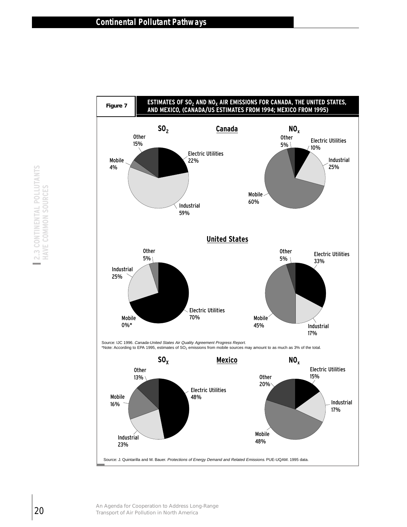

Industrial 23%

Source: J. Quintarilla and M. Bauer. Protections of Energy Demand and Related Emissions. PUE-UQAM. 1995 data.

48%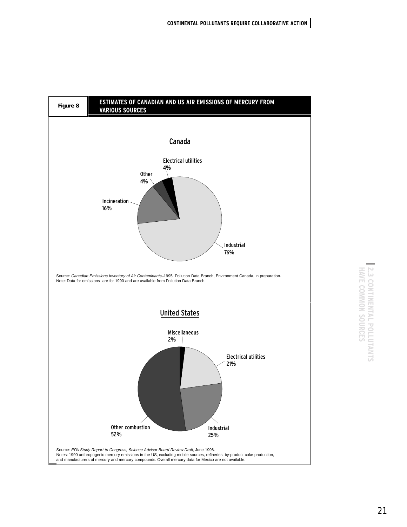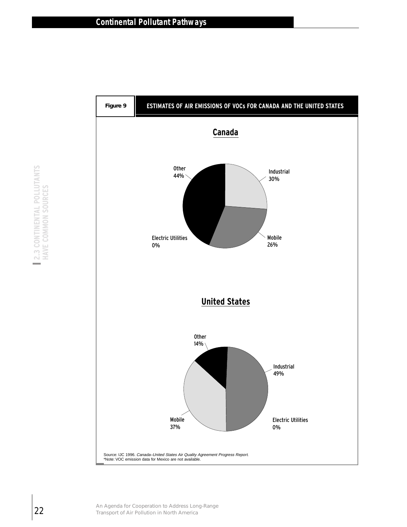

**S**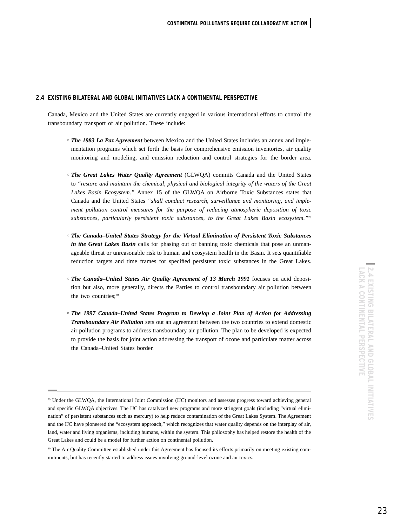## **2.4 EXISTING BILATERAL AND GLOBAL INITIATIVES LACK A CONTINENTAL PERSPECTIVE**

Canada, Mexico and the United States are currently engaged in various international efforts to control the transboundary transport of air pollution. These include:

- $\circ$  The 1983 La Paz Agreement between Mexico and the United States includes an annex and implementation programs which set forth the basis for comprehensive emission inventories, air quality monitoring and modeling, and emission reduction and control strategies for the border area.
- $\circ$  The Great Lakes Water Quality Agreement (GLWQA) commits Canada and the United States to *"restore and maintain the chemical, physical and biological integrity of the waters of the Great Lakes Basin Ecosystem."* Annex 15 of the GLWQA on Airborne Toxic Substances states that Canada and the United States *"shall conduct research, surveillance and monitoring, and implement pollution control measures for the purpose of reducing atmospheric deposition of toxic substances, particularly persistent toxic substances, to the Great Lakes Basin ecosystem."29*
- <sup>h</sup> *The Canada–United States Strategy for the Virtual Elimination of Persistent Toxic Substances in the Great Lakes Basin* calls for phasing out or banning toxic chemicals that pose an unmanageable threat or unreasonable risk to human and ecosystem health in the Basin. It sets quantifiable reduction targets and time frames for specified persistent toxic substances in the Great Lakes.
- $\circ$  The Canada–United States Air Quality Agreement of 13 March 1991 focuses on acid deposition but also, more generally, directs the Parties to control transboundary air pollution between the two countries;<sup>30</sup>
- *The 1997 Canada–United States Program to Develop a Joint Plan of Action for Addressing Transboundary Air Pollution* sets out an agreement between the two countries to extend domestic air pollution programs to address transboundary air pollution. The plan to be developed is expected to provide the basis for joint action addressing the transport of ozone and particulate matter across the Canada–United States border.

<sup>29</sup> Under the GLWQA, the International Joint Commission (IJC) monitors and assesses progress toward achieving general and specific GLWQA objectives. The IJC has catalyzed new programs and more stringent goals (including "virtual elimination" of persistent substances such as mercury) to help reduce contamination of the Great Lakes System. The Agreement and the IJC have pioneered the "ecosystem approach," which recognizes that water quality depends on the interplay of air, land, water and living organisms, including humans, within the system. This philosophy has helped restore the health of the Great Lakes and could be a model for further action on continental pollution.

<sup>&</sup>lt;sup>30</sup> The Air Quality Committee established under this Agreement has focused its efforts primarily on meeting existing commitments, but has recently started to address issues involving ground-level ozone and air toxics.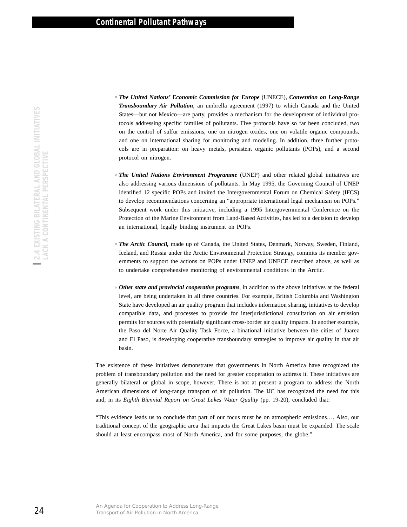- <sup>h</sup> *The United Nations' Economic Commission for Europe* (UNECE), *Convention on Long-Range Transboundary Air Pollution*, an umbrella agreement (1997) to which Canada and the United States—but not Mexico—are party, provides a mechanism for the development of individual protocols addressing specific families of pollutants. Five protocols have so far been concluded, two on the control of sulfur emissions, one on nitrogen oxides, one on volatile organic compounds, and one on international sharing for monitoring and modeling. In addition, three further protocols are in preparation: on heavy metals, persistent organic pollutants (POPs), and a second protocol on nitrogen.
- <sup>h</sup> *The United Nations Environment Programme* (UNEP) and other related global initiatives are also addressing various dimensions of pollutants. In May 1995, the Governing Council of UNEP identified 12 specific POPs and invited the Intergovernmental Forum on Chemical Safety (IFCS) to develop recommendations concerning an "appropriate international legal mechanism on POPs." Subsequent work under this initiative, including a 1995 Intergovernmental Conference on the Protection of the Marine Environment from Land-Based Activities, has led to a decision to develop an international, legally binding instrument on POPs.
- <sup>o</sup> The Arctic Council, made up of Canada, the United States, Denmark, Norway, Sweden, Finland, Iceland, and Russia under the Arctic Environmental Protection Strategy, commits its member governments to support the actions on POPs under UNEP and UNECE described above, as well as to undertake comprehensive monitoring of environmental conditions in the Arctic.
- <sup>h</sup> *Other state and provincial cooperative programs*, in addition to the above initiatives at the federal level, are being undertaken in all three countries. For example, British Columbia and Washington State have developed an air quality program that includes information sharing, initiatives to develop compatible data, and processes to provide for interjurisdictional consultation on air emission permits for sources with potentially significant cross-border air quality impacts. In another example, the Paso del Norte Air Quality Task Force, a binational initiative between the cities of Juarez and El Paso, is developing cooperative transboundary strategies to improve air quality in that air basin. States-both cooleration to Maximum America Party, provided the coordinate on international sharing for metals of production to Air Pole Cooler Cooler and the content of Air Pole Cooler Cooler Cooler and the production in

The existence of these initiatives demonstrates that governments in North America have recognized the problem of transboundary pollution and the need for greater cooperation to address it. These initiatives are generally bilateral or global in scope, however. There is not at present a program to address the North American dimensions of long-range transport of air pollution. The IJC has recognized the need for this and, in its *Eighth Biennial Report on Great Lakes Water Quality* (pp. 19-20), concluded that:

"This evidence leads us to conclude that part of our focus must be on atmospheric emissions…. Also, our traditional concept of the geographic area that impacts the Great Lakes basin must be expanded. The scale should at least encompass most of North America, and for some purposes, the globe."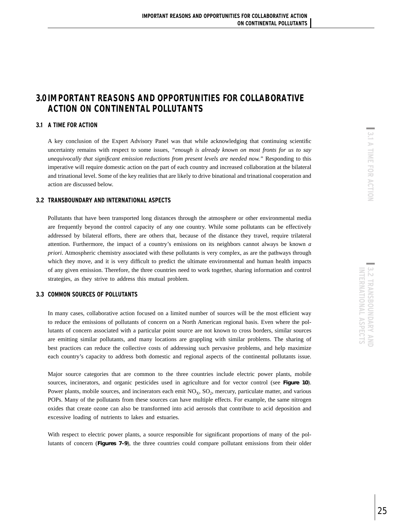# **3.0 IMPORTANT REASONS AND OPPORTUNITIES FOR COLLABORATIVE ACTION ON CONTINENTAL POLLUTANTS**

## **3.1 A TIME FOR ACTION**

A key conclusion of the Expert Advisory Panel was that while acknowledging that continuing scientific uncertainty remains with respect to some issues, *"enough is already known on most fronts for us to say unequivocally that significant emission reductions from present levels are needed now."* Responding to this imperative will require domestic action on the part of each country and increased collaboration at the bilateral and trinational level. Some of the key realities that are likely to drive binational and trinational cooperation and action are discussed below.

## **3.2 TRANSBOUNDARY AND INTERNATIONAL ASPECTS**

Pollutants that have been transported long distances through the atmosphere or other environmental media are frequently beyond the control capacity of any one country. While some pollutants can be effectively addressed by bilateral efforts, there are others that, because of the distance they travel, require trilateral attention. Furthermore, the impact of a country's emissions on its neighbors cannot always be known *a priori*. Atmospheric chemistry associated with these pollutants is very complex, as are the pathways through which they move, and it is very difficult to predict the ultimate environmental and human health impacts of any given emission. Therefore, the three countries need to work together, sharing information and control strategies, as they strive to address this mutual problem.

## **3.3 COMMON SOURCES OF POLLUTANTS**

In many cases, collaborative action focused on a limited number of sources will be the most efficient way to reduce the emissions of pollutants of concern on a North American regional basis. Even where the pollutants of concern associated with a particular point source are not known to cross borders, similar sources are emitting similar pollutants, and many locations are grappling with similar problems. The sharing of best practices can reduce the collective costs of addressing such pervasive problems, and help maximize each country's capacity to address both domestic and regional aspects of the continental pollutants issue.

Major source categories that are common to the three countries include electric power plants, mobile sources, incinerators, and organic pesticides used in agriculture and for vector control (see **Figure 10**). Power plants, mobile sources, and incinerators each emit  $NO<sub>x</sub>$ ,  $SO<sub>2</sub>$ , mercury, particulate matter, and various POPs. Many of the pollutants from these sources can have multiple effects. For example, the same nitrogen oxides that create ozone can also be transformed into acid aerosols that contribute to acid deposition and excessive loading of nutrients to lakes and estuaries.

With respect to electric power plants, a source responsible for significant proportions of many of the pollutants of concern (**Figures 7–9**), the three countries could compare pollutant emissions from their older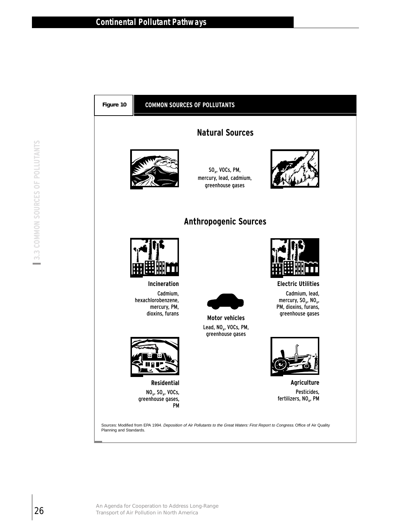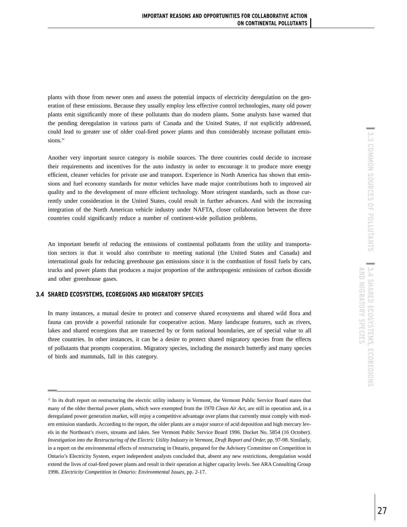plants with those from newer ones and assess the potential impacts of electricity deregulation on the generation of these emissions. Because they usually employ less effective control technologies, many old power plants emit significantly more of these pollutants than do modern plants. Some analysts have warned that the pending deregulation in various parts of Canada and the United States, if not explicitly addressed, could lead to greater use of older coal-fired power plants and thus considerably increase pollutant emissions.<sup>31</sup>

Another very important source category is mobile sources. The three countries could decide to increase their requirements and incentives for the auto industry in order to encourage it to produce more energy efficient, cleaner vehicles for private use and transport. Experience in North America has shown that emissions and fuel economy standards for motor vehicles have made major contributions both to improved air quality and to the development of more efficient technology. More stringent standards, such as those currently under consideration in the United States, could result in further advances. And with the increasing integration of the North American vehicle industry under NAFTA, closer collaboration between the three countries could significantly reduce a number of continent-wide pollution problems.

An important benefit of reducing the emissions of continental pollutants from the utility and transportation sectors is that it would also contribute to meeting national (the United States and Canada) and international goals for reducing greenhouse gas emissions since it is the combustion of fossil fuels by cars, trucks and power plants that produces a major proportion of the anthropogenic emissions of carbon dioxide and other greenhouse gases.

## **3.4 SHARED ECOSYSTEMS, ECOREGIONS AND MIGRATORY SPECIES**

In many instances, a mutual desire to protect and conserve shared ecosystems and shared wild flora and fauna can provide a powerful rationale for cooperative action. Many landscape features, such as rivers, lakes and shared ecoregions that are transected by or form national boundaries, are of special value to all three countries. In other instances, it can be a desire to protect shared migratory species from the effects of pollutants that prompts cooperation. Migratory species, including the monarch butterfly and many species of birds and mammals, fall in this category.

<sup>&</sup>lt;sup>31</sup> In its draft report on restructuring the electric utility industry in Vermont, the Vermont Public Service Board states that many of the older thermal power plants, which were exempted from the 1970 *Clean Air Act*, are still in operation and, in a deregulated power generation market, will enjoy a competitive advantage over plants that currently must comply with modern emission standards. According to the report, the older plants are a major source of acid deposition and high mercury levels in the Northeast's rivers, streams and lakes. See Vermont Public Service Board 1996. Docket No. 5854 (16 October). *Investigation into the Restructuring of the Electric Utility Industry in Vermont, Draft Report and Order,* pp. 97-98. Similarly, in a report on the environmental effects of restructuring in Ontario, prepared for the Advisory Committee on Competition in Ontario's Electricity System, expert independent analysts concluded that, absent any new restrictions, deregulation would extend the lives of coal-fired power plants and result in their operation at higher capacity levels. See ARA Consulting Group 1996. *Electricity Competition in Ontario: Environmental Issues,* pp. 2-17.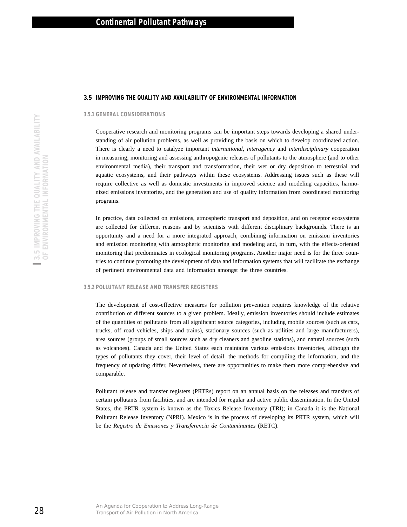#### **3.5 IMPROVING THE QUALITY AND AVAILABILITY OF ENVIRONMENTAL INFORMATION**

#### **3.5.1 GENERAL CONSIDERATIONS**

Cooperative research and monitoring programs can be important steps towards developing a shared understanding of air pollution problems, as well as providing the basis on which to develop coordinated action. There is clearly a need to catalyze important *international, interagency* and *interdisciplinary* cooperation in measuring, monitoring and assessing anthropogenic releases of pollutants to the atmosphere (and to other environmental media), their transport and transformation, their wet or dry deposition to terrestrial and aquatic ecosystems, and their pathways within these ecosystems. Addressing issues such as these will require collective as well as domestic investments in improved science and modeling capacities, harmonized emissions inventories, and the generation and use of quality information from coordinated monitoring programs.

In practice, data collected on emissions, atmospheric transport and deposition, and on receptor ecosystems are collected for different reasons and by scientists with different disciplinary backgrounds. There is an opportunity and a need for a more integrated approach, combining information on emission inventories and emission monitoring with atmospheric monitoring and modeling and, in turn, with the effects-oriented monitoring that predominates in ecological monitoring programs. Another major need is for the three countries to continue promoting the development of data and information systems that will facilitate the exchange of pertinent environmental data and information amongst the three countries.

## **3.5.2 POLLUTANT RELEASE AND TRANSFER REGISTERS**

The development of cost-effective measures for pollution prevention requires knowledge of the relative contribution of different sources to a given problem. Ideally, emission inventories should include estimates of the quantities of pollutants from all significant source categories, including mobile sources (such as cars, trucks, off road vehicles, ships and trains), stationary sources (such as utilities and large manufacturers), area sources (groups of small sources such as dry cleaners and gasoline stations), and natural sources (such as volcanoes). Canada and the United States each maintains various emissions inventories, although the types of pollutants they cover, their level of detail, the methods for compiling the information, and the frequency of updating differ, Nevertheless, there are opportunities to make them more comprehensive and comparable.

Pollutant release and transfer registers (PRTRs) report on an annual basis on the releases and transfers of certain pollutants from facilities, and are intended for regular and active public dissemination. In the United States, the PRTR system is known as the Toxics Release Inventory (TRI); in Canada it is the National Pollutant Release Inventory (NPRI). Mexico is in the process of developing its PRTR system, which will be the *Registro de Emisiones y Transferencia de Contaminantes* (RETC).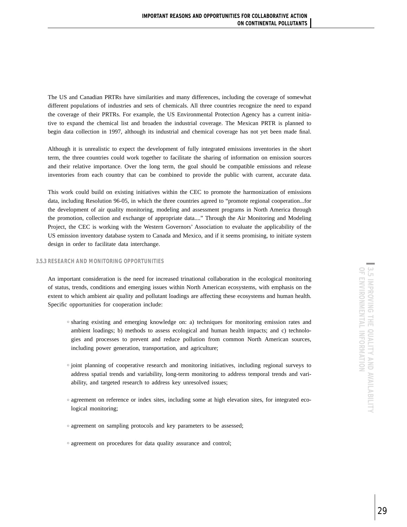The US and Canadian PRTRs have similarities and many differences, including the coverage of somewhat different populations of industries and sets of chemicals. All three countries recognize the need to expand the coverage of their PRTRs. For example, the US Environmental Protection Agency has a current initiative to expand the chemical list and broaden the industrial coverage. The Mexican PRTR is planned to begin data collection in 1997, although its industrial and chemical coverage has not yet been made final.

Although it is unrealistic to expect the development of fully integrated emissions inventories in the short term, the three countries could work together to facilitate the sharing of information on emission sources and their relative importance. Over the long term, the goal should be compatible emissions and release inventories from each country that can be combined to provide the public with current, accurate data.

This work could build on existing initiatives within the CEC to promote the harmonization of emissions data, including Resolution 96-05, in which the three countries agreed to "promote regional cooperation...for the development of air quality monitoring, modeling and assessment programs in North America through the promotion, collection and exchange of appropriate data...." Through the Air Monitoring and Modeling Project, the CEC is working with the Western Governors' Association to evaluate the applicability of the US emission inventory database system to Canada and Mexico, and if it seems promising, to initiate system design in order to facilitate data interchange.

## **3.5.3 RESEARCH AND MONITORING OPPORTUNITIES**

An important consideration is the need for increased trinational collaboration in the ecological monitoring of status, trends, conditions and emerging issues within North American ecosystems, with emphasis on the extent to which ambient air quality and pollutant loadings are affecting these ecosystems and human health. Specific opportunities for cooperation include:

- <sup>h</sup> sharing existing and emerging knowledge on: a) techniques for monitoring emission rates and ambient loadings; b) methods to assess ecological and human health impacts; and c) technologies and processes to prevent and reduce pollution from common North American sources, including power generation, transportation, and agriculture;
- $\circ$  joint planning of cooperative research and monitoring initiatives, including regional surveys to address spatial trends and variability, long-term monitoring to address temporal trends and variability, and targeted research to address key unresolved issues;
- <sup>h</sup> agreement on reference or index sites, including some at high elevation sites, for integrated ecological monitoring;
- $\circ$  agreement on sampling protocols and key parameters to be assessed;
- $\circ$  agreement on procedures for data quality assurance and control;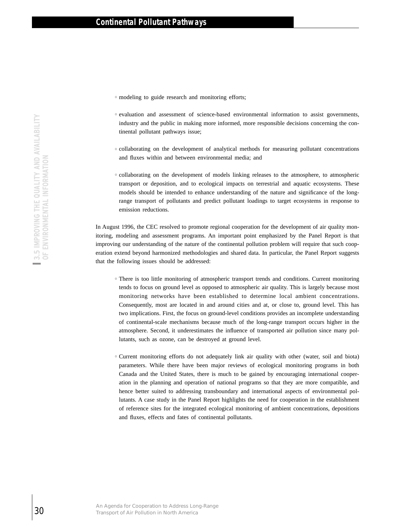- $\circ$  modeling to guide research and monitoring efforts;
- $\circ$  evaluation and assessment of science-based environmental information to assist governments, industry and the public in making more informed, more responsible decisions concerning the continental pollutant pathways issue;
- <sup>h</sup> collaborating on the development of analytical methods for measuring pollutant concentrations and fluxes within and between environmental media; and
- <sup>h</sup> collaborating on the development of models linking releases to the atmosphere, to atmospheric transport or deposition, and to ecological impacts on terrestrial and aquatic ecosystems. These models should be intended to enhance understanding of the nature and significance of the longrange transport of pollutants and predict pollutant loadings to target ecosystems in response to emission reductions.

In August 1996, the CEC resolved to promote regional cooperation for the development of air quality monitoring, modeling and assessment programs. An important point emphasized by the Panel Report is that improving our understanding of the nature of the continental pollution problem will require that such cooperation extend beyond harmonized methodologies and shared data. In particular, the Panel Report suggests that the following issues should be addressed:

- There is too little monitoring of atmospheric transport trends and conditions. Current monitoring tends to focus on ground level as opposed to atmospheric air quality. This is largely because most monitoring networks have been established to determine local ambient concentrations. Consequently, most are located in and around cities and at, or close to, ground level. This has two implications. First, the focus on ground-level conditions provides an incomplete understanding of continental-scale mechanisms because much of the long-range transport occurs higher in the atmosphere. Second, it underestimates the influence of transported air pollution since many pollutants, such as ozone, can be destroyed at ground level.
- <sup>h</sup> Current monitoring efforts do not adequately link air quality with other (water, soil and biota) parameters. While there have been major reviews of ecological monitoring programs in both Canada and the United States, there is much to be gained by encouraging international cooperation in the planning and operation of national programs so that they are more compatible, and hence better suited to addressing transboundary and international aspects of environmental pollutants. A case study in the Panel Report highlights the need for cooperation in the establishment of reference sites for the integrated ecological monitoring of ambient concentrations, depositions and fluxes, effects and fates of continental pollutants.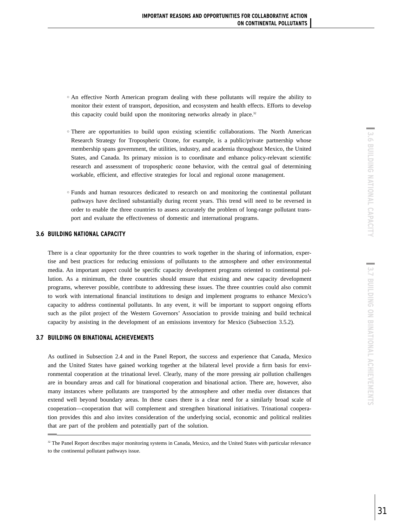- <sup>h</sup> An effective North American program dealing with these pollutants will require the ability to monitor their extent of transport, deposition, and ecosystem and health effects. Efforts to develop this capacity could build upon the monitoring networks already in place.<sup>32</sup>
- <sup>h</sup> There are opportunities to build upon existing scientific collaborations. The North American Research Strategy for Tropospheric Ozone, for example, is a public/private partnership whose membership spans government, the utilities, industry, and academia throughout Mexico, the United States, and Canada. Its primary mission is to coordinate and enhance policy-relevant scientific research and assessment of tropospheric ozone behavior, with the central goal of determining workable, efficient, and effective strategies for local and regional ozone management.
- <sup>h</sup> Funds and human resources dedicated to research on and monitoring the continental pollutant pathways have declined substantially during recent years. This trend will need to be reversed in order to enable the three countries to assess accurately the problem of long-range pollutant transport and evaluate the effectiveness of domestic and international programs.

## **3.6 BUILDING NATIONAL CAPACITY**

There is a clear opportunity for the three countries to work together in the sharing of information, expertise and best practices for reducing emissions of pollutants to the atmosphere and other environmental media. An important aspect could be specific capacity development programs oriented to continental pollution. As a minimum, the three countries should ensure that existing and new capacity development programs, wherever possible, contribute to addressing these issues. The three countries could also commit to work with international financial institutions to design and implement programs to enhance Mexico's capacity to address continental pollutants. In any event, it will be important to support ongoing efforts such as the pilot project of the Western Governors' Association to provide training and build technical capacity by assisting in the development of an emissions inventory for Mexico (Subsection 3.5.2).

## **3.7 BUILDING ON BINATIONAL ACHIEVEMENTS**

As outlined in Subsection 2.4 and in the Panel Report, the success and experience that Canada, Mexico and the United States have gained working together at the bilateral level provide a firm basis for environmental cooperation at the trinational level. Clearly, many of the more pressing air pollution challenges are in boundary areas and call for binational cooperation and binational action. There are, however, also many instances where pollutants are transported by the atmosphere and other media over distances that extend well beyond boundary areas. In these cases there is a clear need for a similarly broad scale of cooperation—cooperation that will complement and strengthen binational initiatives. Trinational cooperation provides this and also invites consideration of the underlying social, economic and political realities that are part of the problem and potentially part of the solution.

<sup>&</sup>lt;sup>32</sup> The Panel Report describes major monitoring systems in Canada, Mexico, and the United States with particular relevance to the continental pollutant pathways issue.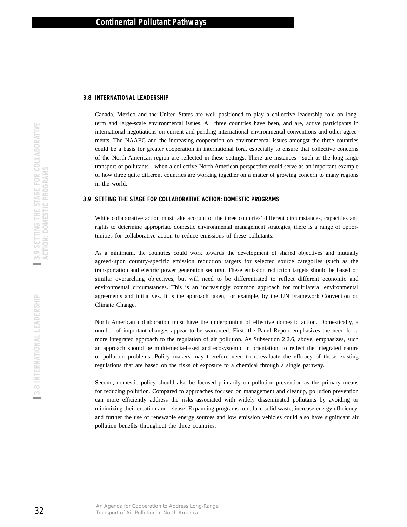#### **3.8 INTERNATIONAL LEADERSHIP**

Canada, Mexico and the United States are well positioned to play a collective leadership role on longterm and large-scale environmental issues. All three countries have been, and are, active participants in international negotiations on current and pending international environmental conventions and other agreements. The NAAEC and the increasing cooperation on environmental issues amongst the three countries could be a basis for greater cooperation in international fora, especially to ensure that collective concerns of the North American region are reflected in these settings. There are instances—such as the long-range transport of pollutants—when a collective North American perspective could serve as an important example of how three quite different countries are working together on a matter of growing concern to many regions in the world.

## **3.9 SETTING THE STAGE FOR COLLABORATIVE ACTION: DOMESTIC PROGRAMS**

While collaborative action must take account of the three countries' different circumstances, capacities and rights to determine appropriate domestic environmental management strategies, there is a range of opportunities for collaborative action to reduce emissions of these pollutants.

As a minimum, the countries could work towards the development of shared objectives and mutually agreed-upon country-specific emission reduction targets for selected source categories (such as the transportation and electric power generation sectors). These emission reduction targets should be based on similar overarching objectives, but will need to be differentiated to reflect different economic and environmental circumstances. This is an increasingly common approach for multilateral environmental agreements and initiatives. It is the approach taken, for example, by the UN Framework Convention on Climate Change.

North American collaboration must have the underpinning of effective domestic action. Domestically, a number of important changes appear to be warranted. First, the Panel Report emphasizes the need for a more integrated approach to the regulation of air pollution. As Subsection 2.2.6, above, emphasizes, such an approach should be multi-media-based and ecosystemic in orientation, to reflect the integrated nature of pollution problems. Policy makers may therefore need to re-evaluate the efficacy of those existing regulations that are based on the risks of exposure to a chemical through a single pathway.

Second, domestic policy should also be focused primarily on pollution prevention as the primary means for reducing pollution. Compared to approaches focused on management and cleanup, pollution prevention can more efficiently address the risks associated with widely disseminated pollutants by avoiding or minimizing their creation and release. Expanding programs to reduce solid waste, increase energy efficiency, and further the use of renewable energy sources and low emission vehicles could also have significant air pollution benefits throughout the three countries.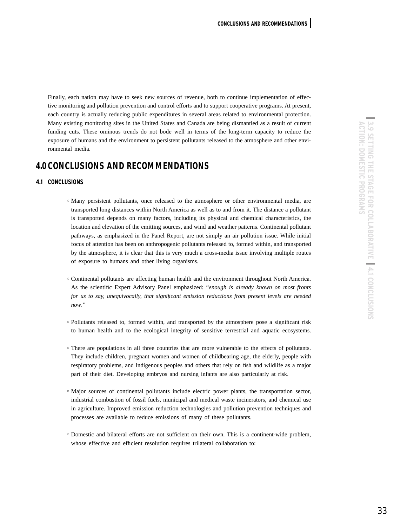Finally, each nation may have to seek new sources of revenue, both to continue implementation of effective monitoring and pollution prevention and control efforts and to support cooperative programs. At present, each country is actually reducing public expenditures in several areas related to environmental protection. Many existing monitoring sites in the United States and Canada are being dismantled as a result of current funding cuts. These ominous trends do not bode well in terms of the long-term capacity to reduce the exposure of humans and the environment to persistent pollutants released to the atmosphere and other environmental media.

# **4.0 CONCLUSIONS AND RECOMMENDATIONS**

## **4.1 CONCLUSIONS**

- $\circ$  Many persistent pollutants, once released to the atmosphere or other environmental media, are transported long distances within North America as well as to and from it. The distance a pollutant is transported depends on many factors, including its physical and chemical characteristics, the location and elevation of the emitting sources, and wind and weather patterns. Continental pollutant pathways, as emphasized in the Panel Report, are not simply an air pollution issue. While initial focus of attention has been on anthropogenic pollutants released to, formed within, and transported by the atmosphere, it is clear that this is very much a cross-media issue involving multiple routes of exposure to humans and other living organisms.
- <sup>h</sup> Continental pollutants are affecting human health and the environment throughout North America. As the scientific Expert Advisory Panel emphasized: "*enough is already known on most fronts for us to say, unequivocally, that significant emission reductions from present levels are needed now."*
- <sup>h</sup> Pollutants released to, formed within, and transported by the atmosphere pose a significant risk to human health and to the ecological integrity of sensitive terrestrial and aquatic ecosystems.
- $\circ$  There are populations in all three countries that are more vulnerable to the effects of pollutants. They include children, pregnant women and women of childbearing age, the elderly, people with respiratory problems, and indigenous peoples and others that rely on fish and wildlife as a major part of their diet. Developing embryos and nursing infants are also particularly at risk.
- <sup>o</sup> Major sources of continental pollutants include electric power plants, the transportation sector, industrial combustion of fossil fuels, municipal and medical waste incinerators, and chemical use in agriculture. Improved emission reduction technologies and pollution prevention techniques and processes are available to reduce emissions of many of these pollutants.
- <sup>h</sup> Domestic and bilateral efforts are not sufficient on their own. This is a continent-wide problem, whose effective and efficient resolution requires trilateral collaboration to: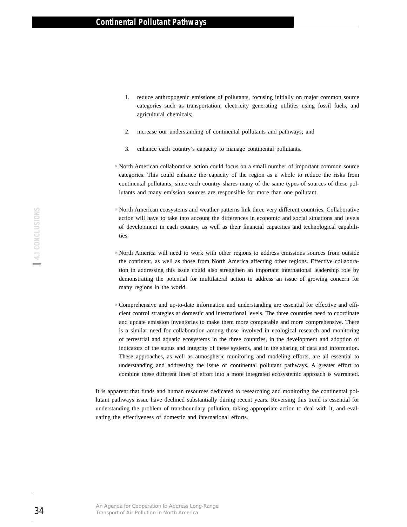- 1. reduce anthropogenic emissions of pollutants, focusing initially on major common source categories such as transportation, electricity generating utilities using fossil fuels, and agricultural chemicals;
- 2. increase our understanding of continental pollutants and pathways; and
- 3. enhance each country's capacity to manage continental pollutants.
- <sup>h</sup> North American collaborative action could focus on a small number of important common source categories. This could enhance the capacity of the region as a whole to reduce the risks from continental pollutants, since each country shares many of the same types of sources of these pollutants and many emission sources are responsible for more than one pollutant.
- $\circ$  North American ecosystems and weather patterns link three very different countries. Collaborative action will have to take into account the differences in economic and social situations and levels of development in each country, as well as their financial capacities and technological capabilities.
- <sup>h</sup> North America will need to work with other regions to address emissions sources from outside the continent, as well as those from North America affecting other regions. Effective collaboration in addressing this issue could also strengthen an important international leadership role by demonstrating the potential for multilateral action to address an issue of growing concern for many regions in the world.
- <sup>h</sup> Comprehensive and up-to-date information and understanding are essential for effective and efficient control strategies at domestic and international levels. The three countries need to coordinate and update emission inventories to make them more comparable and more comprehensive. There is a similar need for collaboration among those involved in ecological research and monitoring of terrestrial and aquatic ecosystems in the three countries, in the development and adoption of indicators of the status and integrity of these systems, and in the sharing of data and information. These approaches, as well as atmospheric monitoring and modeling efforts, are all essential to understanding and addressing the issue of continental pollutant pathways. A greater effort to combine these different lines of effort into a more integrated ecosystemic approach is warranted.

It is apparent that funds and human resources dedicated to researching and monitoring the continental pollutant pathways issue have declined substantially during recent years. Reversing this trend is essential for understanding the problem of transboundary pollution, taking appropriate action to deal with it, and evaluating the effectiveness of domestic and international efforts.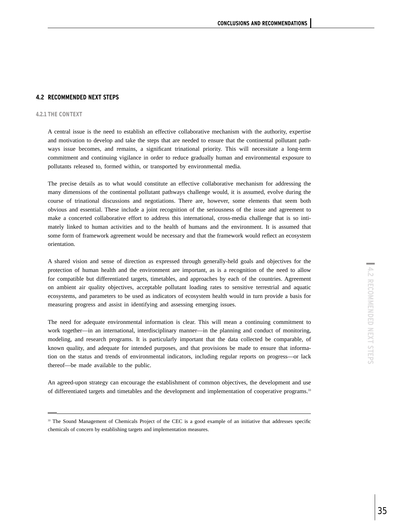## **4.2 RECOMMENDED NEXT STEPS**

#### **4.2.1 THE CONTEXT**

A central issue is the need to establish an effective collaborative mechanism with the authority, expertise and motivation to develop and take the steps that are needed to ensure that the continental pollutant pathways issue becomes, and remains, a significant trinational priority. This will necessitate a long-term commitment and continuing vigilance in order to reduce gradually human and environmental exposure to pollutants released to, formed within, or transported by environmental media.

The precise details as to what would constitute an effective collaborative mechanism for addressing the many dimensions of the continental pollutant pathways challenge would, it is assumed, evolve during the course of trinational discussions and negotiations. There are, however, some elements that seem both obvious and essential. These include a joint recognition of the seriousness of the issue and agreement to make a concerted collaborative effort to address this international, cross-media challenge that is so intimately linked to human activities and to the health of humans and the environment. It is assumed that some form of framework agreement would be necessary and that the framework would reflect an ecosystem orientation.

A shared vision and sense of direction as expressed through generally-held goals and objectives for the protection of human health and the environment are important, as is a recognition of the need to allow for compatible but differentiated targets, timetables, and approaches by each of the countries. Agreement on ambient air quality objectives, acceptable pollutant loading rates to sensitive terrestrial and aquatic ecosystems, and parameters to be used as indicators of ecosystem health would in turn provide a basis for measuring progress and assist in identifying and assessing emerging issues.

The need for adequate environmental information is clear. This will mean a continuing commitment to work together—in an international, interdisciplinary manner—in the planning and conduct of monitoring, modeling, and research programs. It is particularly important that the data collected be comparable, of known quality, and adequate for intended purposes, and that provisions be made to ensure that information on the status and trends of environmental indicators, including regular reports on progress—or lack thereof—be made available to the public.

An agreed-upon strategy can encourage the establishment of common objectives, the development and use of differentiated targets and timetables and the development and implementation of cooperative programs.33

<sup>&</sup>lt;sup>33</sup> The Sound Management of Chemicals Project of the CEC is a good example of an initiative that addresses specific chemicals of concern by establishing targets and implementation measures.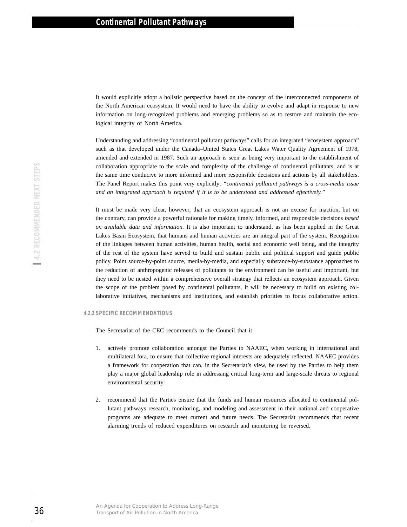It would explicitly adopt a holistic perspective based on the concept of the interconnected components of the North American ecosystem. It would need to have the ability to evolve and adapt in response to new information on long-recognized problems and emerging problems so as to restore and maintain the ecological integrity of North America.

Understanding and addressing "continental pollutant pathways" calls for an integrated "ecosystem approach" such as that developed under the Canada–United States Great Lakes Water Quality Agreement of 1978, amended and extended in 1987. Such an approach is seen as being very important to the establishment of collaboration appropriate to the scale and complexity of the challenge of continental pollutants, and is at the same time conducive to more informed and more responsible decisions and actions by all stakeholders. The Panel Report makes this point very explicitly: *"continental pollutant pathways is a cross-media issue and an integrated approach is required if it is to be understood and addressed effectively."*

It must be made very clear, however, that an ecosystem approach is not an excuse for inaction, but on the contrary, can provide a powerful rationale for making timely, informed, and responsible decisions *based on available data and information.* It is also important to understand, as has been applied in the Great Lakes Basin Ecosystem, that humans and human activities are an integral part of the system. Recognition of the linkages between human activities, human health, social and economic well being, and the integrity of the rest of the system have served to build and sustain public and political support and guide public policy. Point source-by-point source, media-by-media, and especially substance-by-substance approaches to the reduction of anthropogenic releases of pollutants to the environment can be useful and important, but they need to be nested within a comprehensive overall strategy that reflects an ecosystem approach. Given the scope of the problem posed by continental pollutants, it will be necessary to build on existing collaborative initiatives, mechanisms and institutions, and establish priorities to focus collaborative action.

#### **4.2.2 SPECIFIC RECOMMENDATIONS**

The Secretariat of the CEC recommends to the Council that it:

- 1. actively promote collaboration amongst the Parties to NAAEC, when working in international and multilateral fora, to ensure that collective regional interests are adequately reflected. NAAEC provides a framework for cooperation that can, in the Secretariat's view, be used by the Parties to help them play a major global leadership role in addressing critical long-term and large-scale threats to regional environmental security.
- 2. recommend that the Parties ensure that the funds and human resources allocated to continental pollutant pathways research, monitoring, and modeling and assessment in their national and cooperative programs are adequate to meet current and future needs. The Secretariat recommends that recent alarming trends of reduced expenditures on research and monitoring be reversed.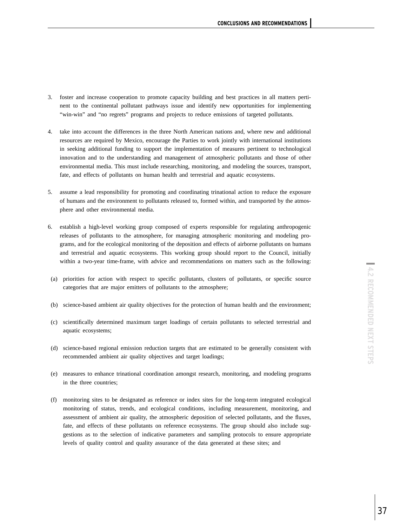- 3. foster and increase cooperation to promote capacity building and best practices in all matters pertinent to the continental pollutant pathways issue and identify new opportunities for implementing "win-win" and "no regrets" programs and projects to reduce emissions of targeted pollutants.
- 4. take into account the differences in the three North American nations and, where new and additional resources are required by Mexico, encourage the Parties to work jointly with international institutions in seeking additional funding to support the implementation of measures pertinent to technological innovation and to the understanding and management of atmospheric pollutants and those of other environmental media. This must include researching, monitoring, and modeling the sources, transport, fate, and effects of pollutants on human health and terrestrial and aquatic ecosystems.
- 5. assume a lead responsibility for promoting and coordinating trinational action to reduce the exposure of humans and the environment to pollutants released to, formed within, and transported by the atmosphere and other environmental media.
- 6. establish a high-level working group composed of experts responsible for regulating anthropogenic releases of pollutants to the atmosphere, for managing atmospheric monitoring and modeling programs, and for the ecological monitoring of the deposition and effects of airborne pollutants on humans and terrestrial and aquatic ecosystems. This working group should report to the Council, initially within a two-year time-frame, with advice and recommendations on matters such as the following:
- (a) priorities for action with respect to specific pollutants, clusters of pollutants, or specific source categories that are major emitters of pollutants to the atmosphere;
- (b) science-based ambient air quality objectives for the protection of human health and the environment;
- (c) scientifically determined maximum target loadings of certain pollutants to selected terrestrial and aquatic ecosystems;
- (d) science-based regional emission reduction targets that are estimated to be generally consistent with recommended ambient air quality objectives and target loadings;
- (e) measures to enhance trinational coordination amongst research, monitoring, and modeling programs in the three countries;
- (f) monitoring sites to be designated as reference or index sites for the long-term integrated ecological monitoring of status, trends, and ecological conditions, including measurement, monitoring, and assessment of ambient air quality, the atmospheric deposition of selected pollutants, and the fluxes, fate, and effects of these pollutants on reference ecosystems. The group should also include suggestions as to the selection of indicative parameters and sampling protocols to ensure appropriate levels of quality control and quality assurance of the data generated at these sites; and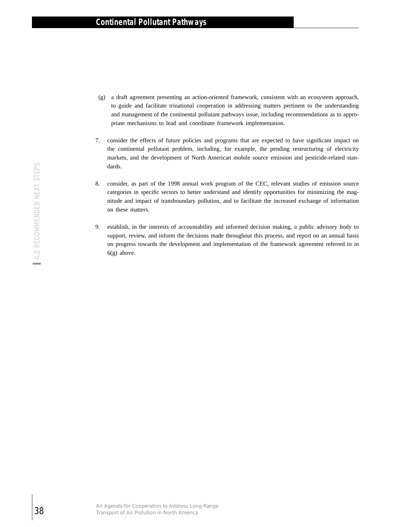- (g) a draft agreement presenting an action-oriented framework, consistent with an ecosystem approach, to guide and facilitate trinational cooperation in addressing matters pertinent to the understanding and management of the continental pollutant pathways issue, including recommendations as to appropriate mechanisms to lead and coordinate framework implementation.
- 7. consider the effects of future policies and programs that are expected to have significant impact on the continental pollutant problem, including, for example, the pending restructuring of electricity markets, and the development of North American mobile source emission and pesticide-related standards.
- 8. consider, as part of the 1998 annual work program of the CEC, relevant studies of emission source categories in specific sectors to better understand and identify opportunities for minimizing the magnitude and impact of transboundary pollution, and to facilitate the increased exchange of information on these matters.
- 9. establish, in the interests of accountability and informed decision making, a public advisory body to support, review, and inform the decisions made throughout this process, and report on an annual basis on progress towards the development and implementation of the framework agreement referred to in 6(g) above.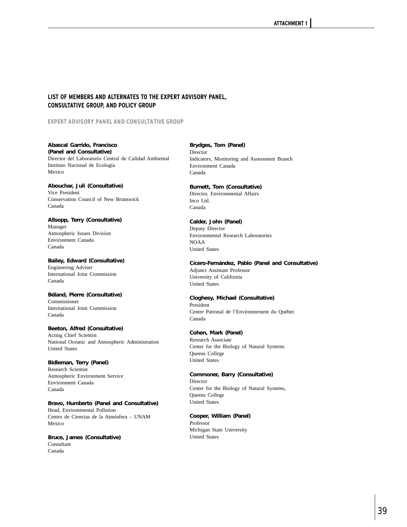## **LIST OF MEMBERS AND ALTERNATES TO THE EXPERT ADVISORY PANEL, CONSULTATIVE GROUP, AND POLICY GROUP**

**EXPERT ADVISORY PANEL AND CONSULTATIVE GROUP**

**Abascal Garrido, Francisco (Panel and Consultative)** Director del Laboratorio Central de Calidad Ambiental Instituto Nacional de Ecología Mexico

**Abouchar, Juli (Consultative)** Vice President Conservation Council of New Brunswick Canada

**Allsopp, Terry (Consultative)** Manager Atmospheric Issues Division Environment Canada Canada

**Bailey, Edward (Consultative)** Engineering Adviser International Joint Commission Canada

**Béland, Pierre (Consultative)** Commissioner International Joint Commission Canada

**Beeton, Alfred (Consultative)** Acting Chief Scientist National Oceanic and Atmospheric Administration United States

**Bidleman, Terry (Panel)** Research Scientist Atmospheric Environment Service Environment Canada Canada

**Bravo, Humberto (Panel and Consultative)** Head, Environmental Pollution Centro de Ciencias de la Atmósfera – UNAM Mexico

**Bruce, James (Consultative)** Consultant Canada

**Brydges, Tom (Panel)** Director Indicators, Monitoring and Assessment Branch Environment Canada Canada

**Burnett, Tom (Consultative)** Director, Environmental Affairs Inco Ltd. Canada

**Calder, John (Panel)** Deputy Director Environmental Research Laboratories NOAA United States

**Cícero-Fernández, Pablo (Panel and Consultative)** Adjunct Assistant Professor University of California United States

**Cloghesy, Michael (Consultative)** President Centre Patronal de l'Environnement du Québec Canada

## **Cohen, Mark (Panel)**

Research Associate Center for the Biology of Natural Systems Queens College United States

**Commoner, Barry (Consultative)** Director Center for the Biology of Natural Systems, Queens College United States

**Cooper, William (Panel)** Professor Michigan State University United States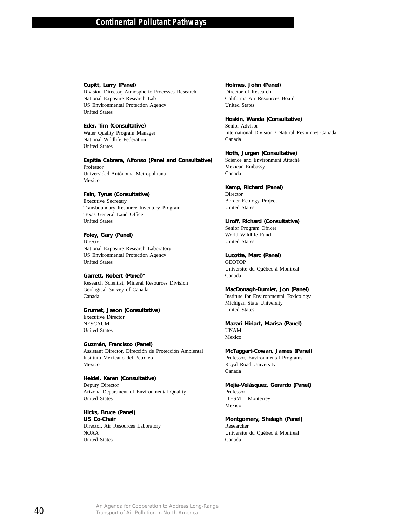## **Cupitt, Larry (Panel)**

Division Director, Atmospheric Processes Research National Exposure Research Lab US Environmental Protection Agency United States

#### **Eder, Tim (Consultative)**

Water Quality Program Manager National Wildlife Federation United States

**Espitia Cabrera, Alfonso (Panel and Consultative)** Professor Universidad Autónoma Metropolitana Espitia Cabrera, Alfonso (Panel and Consultative)<br>
Poissessida Autónoma Metropolitana<br>
Mexico<br>
Fan, Tyrus Coorsultative)<br>
Facencine Secretary<br>
Transbondary Resource Inventory Program<br>
Texts Greent Land Office<br>
United Stuar

## **Fain, Tyrus (Consultative)**

Executive Secretary Transboundary Resource Inventory Program Texas General Land Office United States

#### **Foley, Gary (Panel)**

Mexico

Director National Exposure Research Laboratory US Environmental Protection Agency United States

#### **Garrett, Robert (Panel)\***

Research Scientist, Mineral Resources Division Geological Survey of Canada Canada

**Grumet, Jason (Consultative)** Executive Director NESCAUM United States

## **Guzmán, Francisco (Panel)**

Assistant Director, Dirección de Protección Ambiental Instituto Mexicano del Petróleo Mexico

#### **Heidel, Karen (Consultative)**

Deputy Director Arizona Department of Environmental Quality United States

#### **Hicks, Bruce (Panel) US Co-Chair** Director, Air Resources Laboratory NOAA United States

## **Holmes, John (Panel)**

Director of Research California Air Resources Board United States

## **Hoskin, Wanda (Consultative)**

Senior Advisor International Division / Natural Resources Canada Canada

# **Hoth, Jurgen (Consultative)**

Science and Environment Attaché Mexican Embassy Canada

## **Kamp, Richard (Panel)**

Director Border Ecology Project United States

## **Liroff, Richard (Consultative)**

Senior Program Officer World Wildlife Fund United States

## **Lucotte, Marc (Panel)**

**GEOTOP** Université du Québec à Montréal Canada

# **MacDonagh-Dumler, Jon (Panel)**

Institute for Environmental Toxicology Michigan State University United States

#### **Mazari Hiriart, Marisa (Panel)** UNAM Mexico

**McTaggart-Cowan, James (Panel)** Professor, Environmental Programs Royal Road University Canada

## **Mejía-Velásquez, Gerardo (Panel)** Professor ITESM – Monterrey

Mexico

## **Montgomery, Shelagh (Panel)**

Researcher Université du Québec à Montréal Canada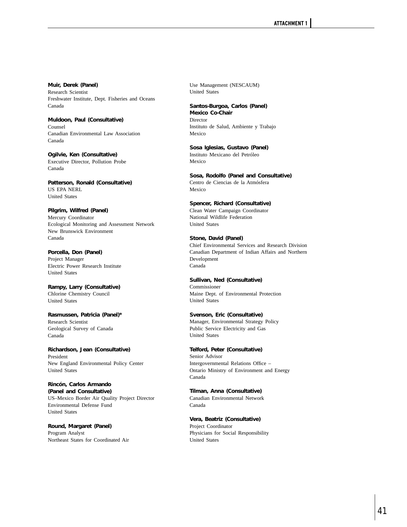**Muir, Derek (Panel)** Research Scientist Freshwater Institute, Dept. Fisheries and Oceans Canada

**Muldoon, Paul (Consultative)** Counsel Canadian Environmental Law Association Canada

**Ogilvie, Ken (Consultative)** Executive Director, Pollution Probe Canada

**Patterson, Ronald (Consultative)** US EPA NERL United States

**Pilgrim, Wilfred (Panel)** Mercury Coordinator Ecological Monitoring and Assessment Network New Brunswick Environment Canada

**Porcella, Don (Panel)** Project Manager Electric Power Research Institute United States

**Rampy, Larry (Consultative)** Chlorine Chemistry Council United States

**Rasmussen, Patricia (Panel)\*** Research Scientist Geological Survey of Canada Canada

**Richardson, Jean (Consultative)** President New England Environmental Policy Center United States

**Rincón, Carlos Armando (Panel and Consultative)** US–Mexico Border Air Quality Project Director Environmental Defense Fund United States

**Round, Margaret (Panel)** Program Analyst Northeast States for Coordinated Air Use Management (NESCAUM) United States

**Santos-Burgoa, Carlos (Panel) Mexico Co-Chair** Director Instituto de Salud, Ambiente y Trabajo Mexico

**Sosa Iglesias, Gustavo (Panel)** Instituto Mexicano del Petróleo Mexico

**Sosa, Rodolfo (Panel and Consultative)** Centro de Ciencias de la Atmósfera Mexico

**Spencer, Richard (Consultative)** Clean Water Campaign Coordinator National Wildlife Federation United States

**Stone, David (Panel)** Chief Environmental Services and Research Division Canadian Department of Indian Affairs and Northern Development Canada

**Sullivan, Ned (Consultative)** Commissioner Maine Dept. of Environmental Protection United States

**Svenson, Eric (Consultative)** Manager, Environmental Strategy Policy Public Service Electricity and Gas United States

**Telford, Peter (Consultative)** Senior Advisor Intergovernmental Relations Office – Ontario Ministry of Environment and Energy Canada

**Tilman, Anna (Consultative)** Canadian Environmental Network Canada

**Vera, Beatriz (Consultative)** Project Coordinator Physicians for Social Responsibility United States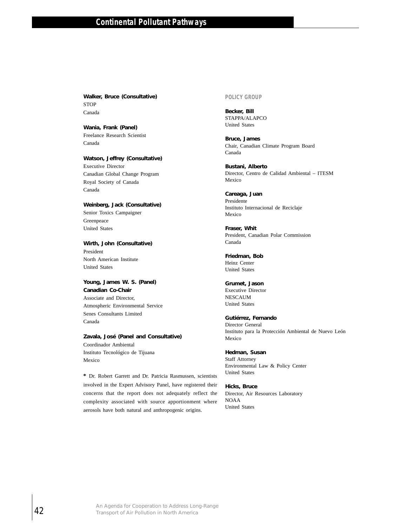**Walker, Bruce (Consultative) STOP** Canada

**Wania, Frank (Panel)** Freelance Research Scientist Canada

**Watson, Jeffrey (Consultative)** Executive Director Canadian Global Change Program Royal Society of Canada Canada

**Weinberg, Jack (Consultative)** Senior Toxics Campaigner Greenpeace United States

**Wirth, John (Consultative)** President North American Institute United States

**Young, James W. S. (Panel) Canadian Co-Chair** Associate and Director, Atmospheric Environmental Service Senes Consultants Limited Canada

**Zavala, José (Panel and Consultative)** Coordinador Ambiental Instituto Tecnológico de Tijuana Mexico

**\*** Dr. Robert Garrett and Dr. Patricia Rasmussen, scientists involved in the Expert Advisory Panel, have registered their concerns that the report does not adequately reflect the complexity associated with source apportionment where aerosols have both natural and anthropogenic origins. Watson, Jeffrey (Consultative)<br>
Executive Director<br>
Canadian Global Change Program<br>
Royal Society of Camola<br>
Canada<br>
Canada<br>
Whith, John (Consultative)<br>
Senior Toxics: Campaigner<br>
Circetness<br>
United States<br>
Whith, John (Co

## **POLICY GROUP**

**Becker, Bill** STAPPA/ALAPCO United States

**Bruce, James** Chair, Canadian Climate Program Board Canada

**Bustani, Alberto** Director, Centro de Calidad Ambiental – ITESM Mexico

**Careaga, Juan** Presidente Instituto Internacional de Reciclaje Mexico

**Fraser, Whit** President, Canadian Polar Commission Canada

**Friedman, Bob** Heinz Center United States

**Grumet, Jason** Executive Director NESCAUM United States

**Gutiérrez, Fernando** Director General Instituto para la Protección Ambiental de Nuevo León Mexico

**Hedman, Susan** Staff Attorney Environmental Law & Policy Center United States

**Hicks, Bruce** Director, Air Resources Laboratory NOAA United States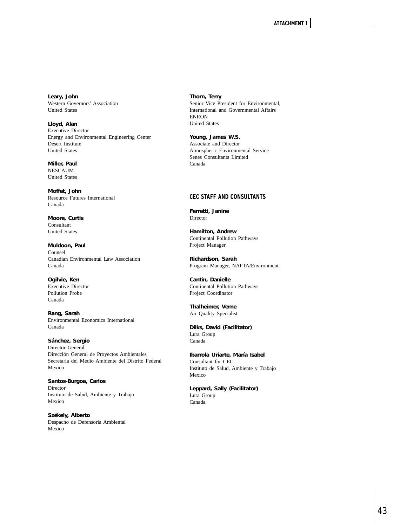**Leary, John** Western Governors' Association United States

**Lloyd, Alan** Executive Director Energy and Environmental Engineering Center Desert Institute United States

**Miller, Paul** NESCAUM United States

**Moffet, John** Resource Futures International Canada

**Moore, Curtis** Consultant United States

**Muldoon, Paul** Counsel Canadian Environmental Law Association Canada

**Ogilvie, Ken** Executive Director Pollution Probe Canada

**Rang, Sarah** Environmental Economics International Canada

**Sánchez, Sergio** Director General Dirección General de Proyectos Ambientales Secretaría del Medio Ambiente del Distrito Federal Mexico

**Santos-Burgoa, Carlos** Director Instituto de Salud, Ambiente y Trabajo Mexico

**Székely, Alberto** Despacho de Defensoría Ambiental Mexico

**Thorn, Terry** Senior Vice President for Environmental, International and Governmental Affairs ENRON United States

**Young, James W.S.** Associate and Director Atmospheric Environmental Service Senes Consultants Limited Canada

## **CEC STAFF AND CONSULTANTS**

**Ferretti, Janine** Director

**Hamilton, Andrew** Continental Pollution Pathways Project Manager

**Richardson, Sarah**  Program Manager, NAFTA/Environment

**Cantin, Danielle** Continental Pollution Pathways Project Coordinator

**Thalheimer, Verne**  Air Quality Specialist

**Dilks, David (Facilitator)** Lura Group Canada

**Ibarrola Uriarte, María Isabel** Consultant for CEC Instituto de Salud, Ambiente y Trabajo Mexico

**Leppard, Sally (Facilitator)** Lura Group Canada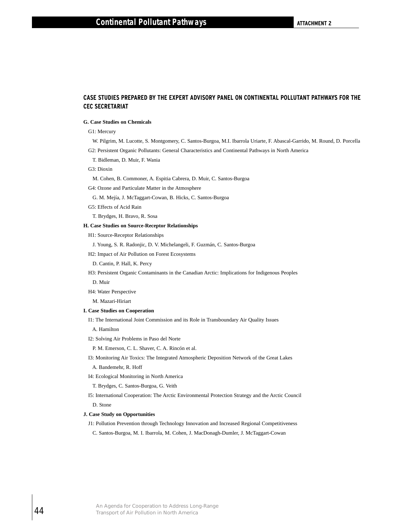## **CASE STUDIES PREPARED BY THE EXPERT ADVISORY PANEL ON CONTINENTAL POLLUTANT PATHWAYS FOR THE CEC SECRETARIAT**

## **G. Case Studies on Chemicals**

#### G1: Mercury

W. Pilgrim, M. Lucotte, S. Montgomery, C. Santos-Burgoa, M.I. Ibarrola Uriarte, F. Abascal-Garrido, M. Round, D. Porcella G2: Persistent Organic Pollutants: General Characteristics and Continental Pathways in North America

T. Bidleman, D. Muir, F. Wania

- G3: Dioxin
- M. Cohen, B. Commoner, A. Espitia Cabrera, D. Muir, C. Santos-Burgoa
- G4: Ozone and Particulate Matter in the Atmosphere

G. M. Mejía, J. McTaggart-Cowan, B. Hicks, C. Santos-Burgoa

G5: Effects of Acid Rain

T. Brydges, H. Bravo, R. Sosa

#### **H. Case Studies on Source-Receptor Relationships**

H1: Source-Receptor Relationships

J. Young, S. R. Radonjic, D. V. Michelangeli, F. Guzmán, C. Santos-Burgoa

- H2: Impact of Air Pollution on Forest Ecosystems
- D. Cantin, P. Hall, K. Percy

H3: Persistent Organic Contaminants in the Canadian Arctic: Implications for Indigenous Peoples

D. Muir

H4: Water Perspective

M. Mazari-Hiriart

## **I. Case Studies on Cooperation**

I1: The International Joint Commission and its Role in Transboundary Air Quality Issues

A. Hamilton

I2: Solving Air Problems in Paso del Norte

P. M. Emerson, C. L. Shaver, C. A. Rincón et al.

I3: Monitoring Air Toxics: The Integrated Atmospheric Deposition Network of the Great Lakes

A. Bandemehr, R. Hoff

I4: Ecological Monitoring in North America

T. Brydges, C. Santos-Burgoa, G. Veith

I5: International Cooperation: The Arctic Environmental Protection Strategy and the Arctic Council D. Stone G2: Persistent Organic Pollutants: General Charact<br>
Ts Bristiann, D. Muir, F. Wania<br>
G3: Dioxin<br>
M. Cohen, B. Commoner, A. Espitin Cabeera, D.<br>
(4) Cozone and Particulate Matter in the Atmosphe<br>
G4: Ozone and Particulate M

#### **J. Case Study on Opportunities**

J1: Pollution Prevention through Technology Innovation and Increased Regional Competitiveness

C. Santos-Burgoa, M. I. Ibarrola, M. Cohen, J. MacDonagh-Dumler, J. McTaggart-Cowan